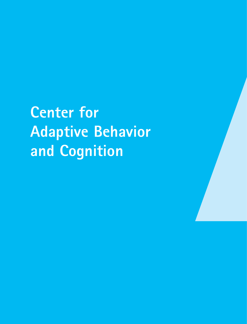**Center for Adaptive Behavior and Cognition**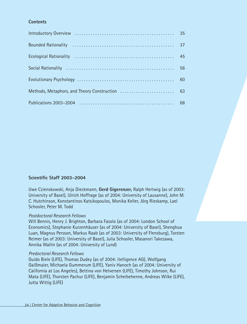# **Contents**

| 60 |
|----|
|    |
| 68 |

# **Scientific Staff 2003–2004**

Uwe Czienskowski, Anja Dieckmann, **Gerd Gigerenzer,** Ralph Hertwig (as of 2003: University of Basel), Ulrich Hoffrage (as of 2004: University of Lausanne), John M. C. Hutchinson, Konstantinos Katsikopoulos, Monika Keller, Jörg Rieskamp, Lael Schooler, Peter M. Todd

### *Postdoctoral Research Fellows*

Will Bennis, Henry J. Brighton, Barbara Fasolo (as of 2004: London School of Economics), Stephanie Kurzenhäuser (as of 2004: University of Basel), Shenghua Luan, Magnus Persson, Markus Raab (as of 2003: University of Flensburg), Torsten Reimer (as of 2003: University of Basel), Julia Schooler, Masanori Takezawa, Annika Wallin (as of 2004: University of Lund)

### *Predoctoral Research Fellows*

Guido Biele (LIFE), Thomas Dudey (as of 2004: itelligence AG), Wolfgang Gaißmaier, Michaela Gummerum (LIFE), Yaniv Hanoch (as of 2004: University of California at Los Angeles), Bettina von Helversen (LIFE), Timothy Johnson, Rui Mata (LIFE), Thorsten Pachur (LIFE), Benjamin Scheibehenne, Andreas Wilke (LIFE), Jutta Wittig (LIFE)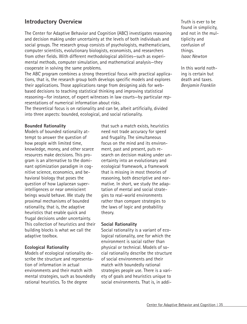# **Introductory Overview**

The Center for Adaptive Behavior and Cognition (ABC) investigates reasoning and decision making under uncertainty at the levels of both individuals and social groups. The research group consists of psychologists, mathematicians, computer scientists, evolutionary biologists, economists, and researchers from other fields. With different methodological abilities—such as experimental methods, computer simulation, and mathematical analysis—they cooperate in solving the same problems.

The ABC program combines a strong theoretical focus with practical applications, that is, the research group both develops specific models and explores their applications. Those applications range from designing aids for webbased decisions to teaching statistical thinking and improving statistical reasoning—for instance, of expert witnesses in law courts—by particular representations of numerical information about risks.

The theoretical focus is on rationality and can be, albeit artificially, divided into three aspects: bounded, ecological, and social rationality.

### **Bounded Rationality**

Models of bounded rationality attempt to answer the question of how people with limited time, knowledge, money, and other scarce resources make decisions. This program is an alternative to the dominant optimization paradigm in cognitive science, economics, and behavioral biology that poses the question of how Laplacean superintelligences or near omniscient beings would behave. We study the proximal mechanisms of bounded rationality, that is, the adaptive heuristics that enable quick and frugal decisions under uncertainty. This collection of heuristics and their building blocks is what we call the adaptive toolbox.

### **Ecological Rationality**

Models of ecological rationality describe the structure and representation of information in actual environments and their match with mental strategies, such as boundedly rational heuristics. To the degree

that such a match exists, heuristics need not trade accuracy for speed and frugality. The simultaneous focus on the mind and its environment, past and present, puts research on decision making under uncertainty into an evolutionary and ecological framework, a framework that is missing in most theories of reasoning, both descriptive and normative. In short, we study the adaptation of mental and social strategies to real-world environments rather than compare strategies to the laws of logic and probability theory.

### **Social Rationality**

Social rationality is a variant of ecological rationality, one for which the environment is social rather than physical or technical. Models of social rationality describe the structure of social environments and their match with boundedly rational strategies people use. There is a variety of goals and heuristics unique to social environments. That is, in addiTruth is ever to be found in simplicity, and not in the multiplicity and confusion of things. *Isaac Newton*

In this world nothing is certain but death and taxes. *Benjamin Franklin*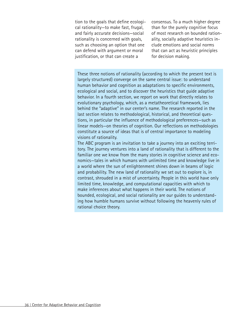tion to the goals that define ecological rationality—to make fast, frugal, and fairly accurate decisions—social rationality is concerned with goals, such as choosing an option that one can defend with argument or moral justification, or that can create a

consensus. To a much higher degree than for the purely cognitive focus of most research on bounded rationality, socially adaptive heuristics include emotions and social norms that can act as heuristic principles for decision making.

These three notions of rationality (according to which the present text is largely structured) converge on the same central issue: to understand human behavior and cognition as adaptations to specific environments, ecological and social, and to discover the heuristics that guide adaptive behavior. In a fourth section, we report on work that directly relates to evolutionary psychology, which, as a metatheoretical framework, lies behind the "adaptive" in our center's name. The research reported in the last section relates to methodological, historical, and theoretical questions, in particular the influence of methodological preferences—such as linear models—on theories of cognition. Our reflections on methodologies constitute a source of ideas that is of central importance to modeling visions of rationality.

The ABC program is an invitation to take a journey into an exciting territory. The journey ventures into a land of rationality that is different to the familiar one we know from the many stories in cognitive science and economics—tales in which humans with unlimited time and knowledge live in a world where the sun of enlightenment shines down in beams of logic and probability. The new land of rationality we set out to explore is, in contrast, shrouded in a mist of uncertainty. People in this world have only limited time, knowledge, and computational capacities with which to make inferences about what happens in their world. The notions of bounded, ecological, and social rationality are our guides to understanding how humble humans survive without following the heavenly rules of rational choice theory.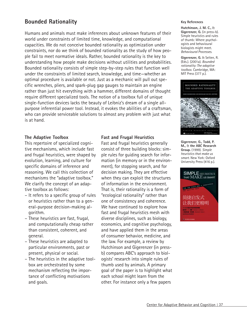# **Bounded Rationality**

Humans and animals must make inferences about unknown features of their world under constraints of limited time, knowledge, and computational capacities. We do not conceive bounded rationality as optimization under constraints, nor do we think of bounded rationality as the study of how people fail to meet normative ideals. Rather, bounded rationality is the key to understanding how people make decisions without utilities and probabilities. Bounded rationality consists of simple step-by-step rules that function well under the constraints of limited search, knowledge, and time—whether an optimal procedure is available or not. Just as a mechanic will pull out specific wrenches, pliers, and spark-plug gap gauges to maintain an engine rather than just hit everything with a hammer, different domains of thought require different specialized tools. The notion of a toolbox full of unique single-function devices lacks the beauty of Leibniz's dream of a single allpurpose inferential power tool. Instead, it evokes the abilities of a craftsman, who can provide serviceable solutions to almost any problem with just what is at hand.

### **The Adaptive Toolbox**

This repertoire of specialized cognitive mechanisms, which include fast and frugal heuristics, were shaped by evolution, learning, and culture for specific domains of inference and reasoning. We call this collection of mechanisms the "adaptive toolbox." We clarify the concept of an adaptive toolbox as follows:

- It refers to a specific group of rules or heuristics rather than to a general-purpose decision-making algorithm.
- These heuristics are fast, frugal, and computationally cheap rather than consistent, coherent, and general.
- These heuristics are adapted to particular environments, past or present, physical or social.
- The heuristics in the adaptive toolbox are orchestrated by some mechanism reflecting the importance of conflicting motivations and goals.

## **Fast and Frugal Heuristics**

Fast and frugal heuristics generally consist of three building blocks: simple rules for guiding search for information (in memory or in the environment), for stopping search, and for decision making. They are effective when they can exploit the structures of information in the environment. That is, their rationality is a form of "ecological rationality" rather than one of consistency and coherence. We have continued to explore how fast and frugal heuristics mesh with diverse disciplines, such as biology, economics, and cognitive psychology, and have applied them in the areas of consumer behavior, medicine, and the law. For example, a review by Hutchinson and Gigerenzer (in pressb) compares ABC's approach to biologists' research into simple rules of thumb used by animals. A primary goal of the paper is to highlight what each school might learn from the other. For instance only a few papers

#### **Key References**

**Hutchinson, J. M. C.,** & **Gigerenzer, G.** (in press-b). Simple heuristics and rules of thumb: Where psychologists and behavioural biologists might meet. *Behavioural Processes*.

**Gigerenzer, G.** & Selten, R. (Eds.). (2001a). *Bounded rationality: The adaptive toolbox.* Cambridge, MA: MIT Press (377 p.).



**Gigerenzer, G., Todd, P. M.,** & **the ABC Research Group.** (1999). *Simple heuristics that make us smart.* New York: Oxford University Press (416 p.).

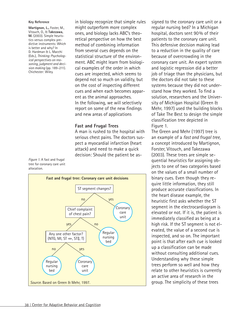#### **Key Reference**

**Martignon, L.,** Foster, M., Vitouch, O., & **Takezawa, M.** (2003). Simple heuristics versus complex predictive instruments: Which is better and why? In D. Hardman & L. Macchi (Eds.), *Thinking: Psychological perspectives on reasoning, judgment and decision making* (pp. 189–211). Chichester: Wiley.

in biology recognize that simple rules might outperform more complex ones, and biology lacks ABC's theoretical perspective on how the best method of combining information from several cues depends on the statistical structure of the environment. ABC might learn from biological examples of the order in which cues are inspected, which seems to depend not so much on validity, but on the cost of inspecting different cues and when each becomes apparent as the animal approaches. In the following, we will selectively report on some of the new findings and new areas of applications

### **Fast and Frugal Trees**

A man is rushed to the hospital with serious chest pains. The doctors suspect a myocardial infarction (heart attack) and need to make a quick decision: Should the patient be as-

*Figure 1.* A fast and frugal tree for coronary care unit allocation.



signed to the coronary care unit or a regular nursing bed? In a Michigan hospital, doctors sent 90% of their patients to the coronary care unit. This defensive decision making lead to a reduction in the quality of care because of overcrowding in the coronary care unit. An expert system and logistic regression did a better job of triage than the physicians, but the doctors did not take to these systems because they did not understand how they worked. To find a solution, researchers and the University of Michigan Hospital (Green & Mehr, 1997) used the building blocks of Take The Best to design the simple classification tree depicted in Figure 1.

The Green and Mehr (1997) tree is an example of a *fast and frugal tree,* a concept introduced by Martignon, Forster, Vitouch, and Takezawa (2003). These trees are simple sequential heuristics for assigning objects to one of two categories based on the values of a small number of binary cues. Even though they require little information, they still produce accurate classifications. In the heart disease example, the heuristic first asks whether the ST segment in the electrocardiogram is elevated or not. If it is, the patient is immediately classified as being at a high risk. If the ST segment is not elevated, the value of a second cue is inspected, and so on. The important point is that after each cue is looked up a classification can be made without consulting additional cues. Understanding why these simple trees perform so well and how they relate to other heuristics is currently an active area of research in the group. The simplicity of these trees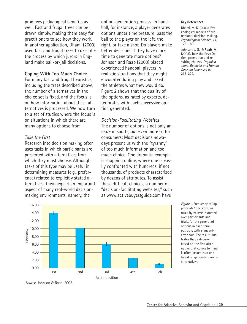produces pedagogical benefits as well. Fast and frugal trees can be drawn simply, making them easy for practitioners to see how they work. In another application, Dhami (2003) used fast and frugal trees to describe the process by which jurors in England make bail-or-jail decisions.

### **Coping With Too Much Choice**

For many fast and frugal heuristics, including the trees described above, the number of alternatives in the choice set is fixed, and the focus is on how information about these alternatives is processed. We now turn to a set of studies where the focus is on situations in which there are many options to choose from.

### *Take the First*

Research into decision making often uses tasks in which participants are presented with alternatives from which they must choose. Although tasks of this type may be useful in determining measures (e.g., preference) related to explicitly stated alternatives, they neglect an important aspect of many real-world decisionmaking environments, namely, the

option-generation process. In handball, for instance, a player generates options under time pressure: pass the ball to the player on the left, the right, or take a shot. Do players make better decisions if they have more time to generate more options? Johnson and Raab (2003) placed experienced handball players in realistic situations that they might encounter during play and asked the athletes what they would do. Figure 2 shows that the quality of the options, as rated by experts, deteriorates with each successive option generated.

*Decision-Facilitating Websites* The number of options is not only an issue in sports, but even more so for consumers: Most decisions nowadays present us with the "tyranny" of too much information and too much choice. One dramatic example is shopping online, where one is easily confronted with hundreds, if not thousands, of products characterized by dozens of attributes. To assist these difficult choices, a number of "decision-facilitating websites," such as www.activebuyersguide.com have



*Figure 2.* Frequency of "appropriate" decisions, as rated by experts, summed over participants and trials, for the generated options in each serial position, with standarderror bars. The result illustrates that a decision based on the first alternative that comes to mind is often better than one based on generating many alternatives.

*Source.* Johnson & Raab, 2003.

**Key References**

Dhami, M. K. (2003). Psychological models of professional decision-making. *Psychological Science, 14,* 175–180.

Johnson, J. G., & **Raab, M.** (2003). Take the first: Option-generation and resulting choices. *Organizational Behavior and Human Decision Processes, 91,* 215–229.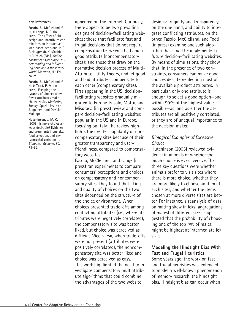#### **Key References**

**Fasolo, B.,** McClelland, G. H., & Lange, K. A. (in press). The effect of site design and inattribute correlations on interactive web-based decisions. In C. P. Haugtvedt, K. Machleit, & R. Yalch (Eds.), *Online consumer psychology: Understanding and influencing behavior in the virtual world.* Mahwah, NJ: Erlbaum.

**Fasolo, B.,** McClelland, G. H., & **Todd, P. M.** (in press). Escaping the tyranny of choice: When fewer attributes make choice easier. *Marketing Theory* (Special issue on Judgement and Decision Making).

**Hutchinson, J. M. C.** (2005). Is more choice always desirable? Evidence and arguments from leks, food selection, and environmental enrichment. *Biological Reviews, 80,* 73–92.

appeared on the Internet. Curiously, there appear to be two prevailing designs of decision-facilitating websites: those that facilitate fast and frugal decisions that do not require compensation between a bad and a good attribute (noncompensatory sites); and those that draw on the normative decision process of Multi-Attribute Utility Theory, and let good and bad attributes compensate for each other (compensatory sites). First appearing in the US, decisionfacilitating websites gradually migrated to Europe. Fasolo, Motta, and Misuraca (in press) review and compare decision-facilitating websites popular in the US and in Europe, focusing on Italy. The review highlights the greater popularity of noncompensatory sites because of their greater transparency and userfriendliness, compared to compensatory websites.

Fasolo, McClelland, and Lange (in press) ran experiments to compare consumers' perceptions and choices on compensatory and noncompensatory sites. They found that liking and quality of choices on the two sites depended on the structure of the choice environment. When choices presented trade-offs among conflicting attributes (i.e., where attributes were negatively correlated), the compensatory site was better liked, but choice was perceived as difficult. Vice-versa, when trade-offs were not present (attributes were positively correlated), the noncompensatory site was better liked and choice was perceived as easy. This work highlighted the need to investigate compensatory multiattribute algorithms that could combine the advantages of the two website

designs: frugality and transparency, on the one hand, and ability to integrate conflicting attributes, on the other. Fasolo, McClelland, and Todd (in press) examine one such algorithm that could be implemented in future decision-facilitating websites. By means of simulations, they show that, in the presence of two constraints, consumers can make good choices despite neglecting most of the available product attributes. In particular, only one attribute is enough to select a good option—one within 90% of the highest value possible—as long as either the attributes are all positively correlated, or they are of unequal importance to the decision maker.

# *Biological Examples of Excessive Choice*

Hutchinson (2005) reviewed evidence in animals of whether too much choice is ever aversive. The three key questions were whether animals prefer to visit sites where there is more choice, whether they are more likely to choose an item at such sites, and whether the items chosen at more diverse sites are better. For instance, a reanalysis of data on mating skew in leks (aggregations of males) of different sizes suggested that the probability of choosing one of the top *n*% of males might be highest at intermediate lek sizes.

# **Modeling the Hindsight Bias With Fast and Frugal Heuristics**

Some years ago, the work on fast and frugal heuristics was extended to model a well-known phenomenon of memory research, the hindsight bias. Hindsight bias can occur when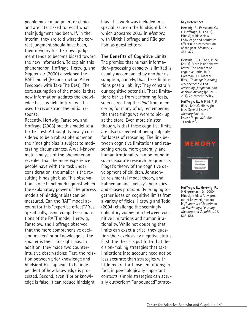people make a judgment or choice and are later asked to recall what their judgment had been. If, in the interim, they are told what the correct judgment should have been, their memory for their own judgment tends to become biased toward the new information. To explain this phenomenon, Hoffrage, Hertwig, and Gigerenzer (2000) developed the RAFT model (Reconstruction After Feedback with Take The Best). The core assumption of the model is that new information updates the knowledge base, which, in turn, will be used to reconstruct the initial response.

Recently, Hertwig, Fanselow, and Hoffrage (2003) put this model to a further test. Although typically considered to be a robust phenomenon, the hindsight bias is subject to moderating circumstances. A well-known meta-analysis of the phenomenon revealed that the more experience people have with the task under consideration, the smaller is the resulting hindsight bias. This observation is one benchmark against which the explanatory power of the process models of hindsight bias can be measured. Can the RAFT model account for this "expertise effect"? Yes. Specifically, using computer simulations of the RAFT model, Hertwig, Fanselow, and Hoffrage observed that the more comprehensive decision makers' prior knowledge is, the smaller is their hindsight bias. In addition, they made two counterintuitive observations: First, the relation between prior knowledge and hindsight bias appears to be independent of how knowledge is processed. Second, even if prior knowledge is false, it can reduce hindsight

bias. This work was included in a special issue on the hindsight bias, which appeared 2003 in *Memory,* with Ulrich Hoffrage and Rüdiger Pohl as quest editors.

### **The Benefits of Cognitive Limits**

The premise that human information-processing capacity is limited is usually accompanied by another assumption, namely, that these limitations pose a liability: They constrain our cognitive potential. These limitations bar us from performing feats, such as reciting the *Iliad* from memory or, for many of us, remembering the three things we were to pick up at the store. Even more sinister, though, is that these cognitive limits are also suspected of being culpable for lapses of reasoning. The link between cognitive limitations and reasoning errors, more generally, and human irrationality can be found in such disparate research programs as Piaget's theory of the cognitive development of children, Johnson-Laird's mental model theory, and Kahneman and Tversky's heuristicsand-biases program. By bringing together ideas on cognitive limits from a variety of fields, Hertwig and Todd (2004) challenge the seemingly obligatory connection between cognitive limitations and human irrationality. While not doubting that limits can exact a price, they question their exclusively negative status. First, the thesis is put forth that decision-making strategies that take limitations into account need not be less accurate than strategies with little regard for those limitations; in fact, in psychologically important contexts, simple strategies can actually outperform "unbounded" strate-

#### **Key References**

**Hertwig, R., Fanselow, C.,** & **Hoffrage, U.** (2003). Hindsight bias: How knowledge and heuristics affect our reconstruction of the past. *Memory, 11,* 357–377.

**Hertwig, R.,** & **Todd, P. M.** (2003). More is not always better: The benefits of cognitive limits. In D. Hardman & L. Macchi (Eds.), *Thinking: Psychological perspectives on reasoning , judgment, and decision making* (pp. 213– 231). Chichester: Wiley.

**Hoffrage, U.,** & Pohl, R. F. (Eds.). (2003). Hindsight bias. Special Issue of *Memory* (Vol. 11, Issue 4/5, pp. 329–504; 11 articles).



**Hoffrage, U., Hertwig, R.,** & **Gigerenzer, G.** (2000). Hindsight bias: A by-product of knowledge updating? *Journal of Experimental Psychology: Learning, Memory, and Cognition, 26,* 566–581.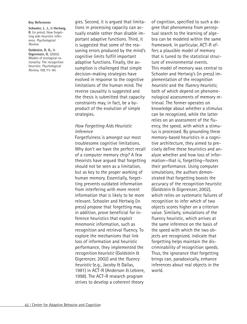#### **Key References**

**Schooler, L. J.,** & **Hertwig, R.** (in press). How forgetting aids heuristic inference. *Psychological Review.*

**Goldstein, D. G.,** & **Gigerenzer, G.** (2002). Models of ecological rationality: The recognition heuristic. *Psychological Review, 109,* 75–90.

gies. Second, it is argued that limitations in processing capacity can actually enable rather than disable important adaptive functions. Third, it is suggested that some of the reasoning errors produced by the mind's cognitive limits fulfill important adaptive functions. Finally, the assumption is challenged that simple decision-making strategies have evolved in response to the cognitive limitations of the human mind. The reverse causality is suggested and the thesis is submitted that capacity constraints may, in fact, be a byproduct of the evolution of simple strategies.

## *How Forgetting Aids Heuristic Inference*

Forgetfulness is amongst our most troublesome cognitive limitations. Why don't we have the perfect recall of a computer memory chip? A few theorists have argued that forgetting should not be seen as a limitation, but as key to the proper working of human memory. Essentially, forgetting prevents outdated information from interfering with more recent information that is likely to be more relevant. Schooler and Hertwig (in press) propose that forgetting may, in addition, prove beneficial for inference heuristics that exploit mnemonic information, such as recognition and retrieval fluency. To explore the mechanisms that link loss of information and heuristic performance, they implemented the *recognition heuristic* (Goldstein & Gigerenzer, 2002) and the *fluency heuristic* (e.g., Jacoby & Dallas, 1981) in ACT-R (Anderson & Lebiere, 1998). The ACT-R research program strives to develop a coherent theory

of cognition, specified to such a degree that phenomena from perceptual search to the learning of algebra can be modeled within the same framework. In particular, ACT-R offers a plausible model of memory that is tuned to the statistical structure of environmental events. This model of memory was central to Schooler and Hertwig's (in press) implementation of the *recognition heuristic* and the *fluency heuristic,* both of which depend on phenomenological assessments of memory retrieval. The former operates on knowledge about whether a stimulus can be recognized, while the latter relies on an assessment of the fluency, the speed, with which a stimulus is processed. By grounding these memory-based heuristics in a cognitive architecture, they aimed to precisely define these heuristics and analyze whether and how loss of information—that is, forgetting—fosters their performance. Using computer simulations, the authors demonstrated that forgetting boosts the accuracy of the recognition heuristic (Goldstein & Gigerenzer, 2002), which relies on systematic failures of recognition to infer which of two objects scores higher on a criterion value. Similarly, simulations of the fluency heuristic, which arrives at the same inference on the basis of the speed with which the two objects are recognized, indicate that forgetting helps maintain the discriminability of recognition speeds. Thus, the ignorance that forgetting brings can, paradoxically, enhance inferences about real objects in the world.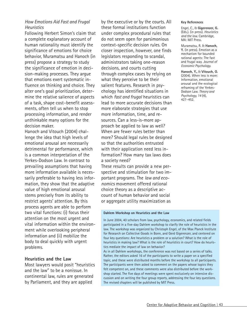# *How Emotions Aid Fast and Frugal Heuristics*

Following Herbert Simon's claim that a complete explanatory account of human rationality must identify the significance of emotions for choice behavior, Muramatsu and Hanoch (in press) propose a strategy to study the significance of emotion in decision-making processes. They argue that emotions exert systematic influence on thinking and choice. They alter one's goal prioritization, determine the relative salience of aspects of a task, shape cost–benefit assessments, often tell us when to stop processing information, and render unthinkable many options for the decision maker.

Hanoch and Vitouch (2004) challenge the idea that high levels of emotional arousal are necessarily detrimental for performance, which is a common interpretation of the Yerkes-Dodson Law. In contrast to prevailing assumptions that having more information available is necessarily preferable to having less information, they show that the adaptive value of high emotional arousal stems precisely from its ability to restrict agents' attention. By this process agents are able to perform two vital functions: (i) focus their attention on the most urgent and vital information within the environment while overlooking peripheral information and (ii) mobilize the body to deal quickly with urgent problems.

### **Heuristics and the Law**

Most lawyers would posit "heuristics and the law" to be a nonissue. In continental law, rules are generated by Parliament, and they are applied

by the executive or by the courts. All these formal institutions function under complex procedural rules that do not seem open for parsimonious context-specific decision rules. On closer inspection, however, one finds legislators responding to scandal, administrators taking one-reason decisions, and courts cutting through complex cases by relying on what they perceive to be their salient features. Research in psychology has identified situations in which *fast and frugal* heuristics can lead to more accurate decisions than more elaborate strategies that use more information, time, and resources. Can a less-is-more approach be applied to law as well? When are fewer rules better than more? Should legal rules be designed so that the authorities entrusted with their application need less information? How many tax laws does a society need?

These results can provide a new perspective and stimulation for two important programs. The *law and economics* movement offered rational choice theory as a descriptive account of human behavior and social or aggregate utility maximization as

### **Dahlem Workshop on Heuristics and the Law**

In June 2004, 40 scholars from law, psychology, economics, and related fields participated in a five-day Dahlem workshop to clarify the role of heuristics in the law. The workshop was organized by Christoph Engel, of the Max Planck Institute for Research on Collective Goods in Bonn, and Gerd Gigerenzer, and centered on four key questions: Are heuristics a problem or a solution? What is the role of heuristics in making law? What is the role of heuristics in court? How do heuristics mediate the impact of law on behavior?

As in all Dahlem workshops, the conference was not based on a series of talks. Rather, the editors asked 16 of the participants to write a paper on a specified topic, and these were distributed months before the workshop to all participants. The participants were then asked to comment on the papers whose topics they felt competent on, and these comments were also distributed before the workshop started. The five days of meetings were spent exclusively on intensive discussion and on writing the four group reports, addressing the four key questions. The revised chapters will be published by MIT Press.

#### **Key References**

Engel, C., & **Gigerenzer, G.** (Eds.). (in press). *Heuristics and the law.* Cambridge, MA: MIT Press.

Muramatsu, R. & **Hanoch, Y.** (in press). Emotion as a mechanism for bounded rational agents: The fast and frugal way. *Journal of Economic Psychology.*

**Hanoch, Y.,** & **Vitouch, O.** (2004). When less is more: Information, emotional arousal and the ecological reframing of the Yerkes-Dodson Law. *Theory and Psychology, 14* (4), 427–452.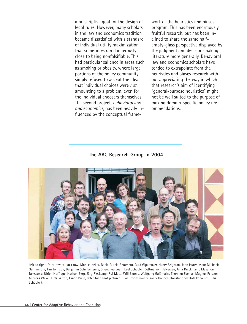a prescriptive goal for the design of legal rules. However, many scholars in the law and economics tradition became dissatisfied with a standard of individual utility maximization that sometimes ran dangerously close to being nonfalsifiable. This had particular salience in areas such as smoking or obesity, where large portions of the policy community simply refused to accept the idea that individual choices were *not* amounting to a problem, even for the individual choosers themselves. The second project, *behavioral law and economics,* has been heavily influenced by the conceptual framework of the heuristics and biases program. This has been enormously fruitful research, but has been inclined to share the same halfempty-glass perspective displayed by the judgment and decision-making literature more generally. Behavioral law and economics scholars have tended to extrapolate from the heuristics and biases research without appreciating the way in which that research's aim of identifying "general-purpose heuristics" might not be well suited to the purpose of making domain-specific policy recommendations.

**The ABC Research Group in 2004**



Left to right, front row to back row: Monika Keller, Rocio Garcia Retamero, Gerd Gigerenzer, Henry Brighton, John Hutchinson; Michaela Gummerum, Tim Johnson, Benjamin Scheibehenne, Shenghua Luan; Lael Schooler, Bettina von Helversen, Anja Dieckmann, Masanori Takezawa; Ulrich Hoffrage, Nathan Berg, Jörg Rieskamp; Rui Mata, Will Bennis, Wolfgang Gaißmaier, Thorsten Pachur; Magnus Persson, Andreas Wilke, Jutta Wittig, Guido Biele, Peter Todd (not pictured: Uwe Czienskowski, Yaniv Hanoch, Konstantinos Katsikopoulos, Julia Schooler).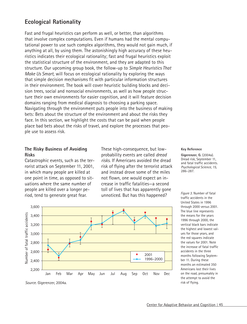# **Ecological Rationality**

Fast and frugal heuristics can perform as well, or better, than algorithms that involve complex computations. Even if humans had the mental computational power to use such complex algorithms, they would not gain much, if anything at all, by using them. The astonishingly high accuracy of these heuristics indicates their ecological rationality; fast and frugal heuristics exploit the statistical structure of the environment, and they are adapted to this structure. Our upcoming group book, the follow-up to *Simple Heuristics That Make Us Smart,* will focus on ecological rationality by exploring the ways that simple decision mechanisms fit with particular information structures in their environment. The book will cover heuristic building blocks and decision trees, social and nonsocial environments, as well as how people structure their own environments for easier cognition, and it will feature decision domains ranging from medical diagnosis to choosing a parking space. Navigating through the environment puts people into the business of making bets: Bets about the structure of the environment and about the risks they face. In this section, we highlight the costs that can be paid when people place bad bets about the risks of travel, and explore the processes that people use to assess risk.

## **The Risky Business of Avoiding Risks**

Catastrophic events, such as the terrorist attack on September 11, 2001, in which many people are killed at one point in time, as opposed to situations where the same number of people are killed over a longer period, tend to generate great fear.

These high-consequence, but lowprobability events are called *dread risks.* If Americans avoided the dread risk of flying after the terrorist attack and instead drove some of the miles not flown, one would expect an increase in traffic fatalities—a second toll of lives that has apparently gone unnoticed. But has this happened?



**Key Reference**

**Gigerenzer, G.** (2004a). Dread risk, September 11, and fatal traffic accidents. *Psychological Science, 15,* 286–287.

*Figure 3.* Number of fatal traffic accidents in the United States in 1996 through 2000 versus 2001. The blue line represents the means for the years 1996 through 2000, the vertical black bars indicate the highest and lowest values for those years, and the red squares indicate the values for 2001. Note the increase of fatal traffic accidents in the three months following September 11. During these months an estimated 350 Americans lost their lives on the road, presumably in the attempt to avoid the risk of flying.

*Source.* Gigerenzer, 2004a.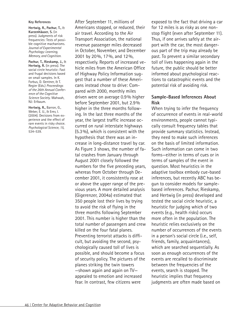#### **Key References**

**Hertwig, R., Pachur, T.,** & **Kurzenhäuser, S.** (in press). Judgments of risk frequencies: Tests of possible cognitive machanisms. *Journal of Experimental Psychology: Learning, Memory, and Cognition.* 

**Pachur, T., Rieskamp, J.,** & **Hertwig, R.** (in press). The social circle heuristic: Fast and frugal decisions based on small samples. In K. Forbus, D. Gentner, & T. Regier (Eds.) *Proceedings of the 26th Annual Conference of the Cognitive Science Society*. Mahwah, NJ: Erlbaum.

**Hertwig, R.,** Barron, G., Weber, E. U., & Erev, I. (2004). Decisions from experience and the effect of rare events in risky choice. *Psychological Science, 15,* 534–539.

After September 11, millions of Americans stopped, or reduced, their air travel. According to the Air Transport Association, the national revenue passenger miles decreased in October, November, and December 2001 by 20%, 17%, and 12%, respectively. Reports of increased vehicle miles from the American Office of Highway Policy Information suggest that a number of these Americans instead chose to drive: Compared with 2000, monthly miles driven were on average 0.9% higher before September 2001, but 2.9% higher in the three months following. In the last three months of the year, the largest traffic increase occurred on rural interstate highways (5.3%), which is consistent with the hypothesis that there was an increase in long-distance travel by car. As Figure 3 shows, the number of fatal crashes from January through August 2001 closely followed the numbers for the five preceding years, whereas from October through December 2001, it consistently rose at or above the upper range of the previous years. A more detailed analysis (Gigerenzer, 2004a) estimated that 350 people lost their lives by trying to avoid the risk of flying in the three months following September 2001. This number is higher than the total number of passengers and crew killed on the four fatal planes. Preventing terrorist attacks is difficult, but avoiding the second, psychologically caused toll of lives is possible, and should become a focus of security policy. The pictures of the planes striking the twin towers —shown again and again on TV appealed to emotion and increased fear. In contrast, few citizens were

exposed to the fact that driving a car for 12 miles is as risky as one nonstop flight (even after September 11). Thus, if one arrives safely at the airport with the car, the most dangerous part of the trip may already be past. To prevent a similar secondary toll of lives happening again in the future, the public should be better informed about psychological reactions to catastrophic events and the potential risk of avoiding risk.

## **Sample-Based Inferences About Risk**

When trying to infer the frequency of occurrence of events in real-world environments, people cannot typically consult frequency tables that provide summary statistics. Instead, they need to make such inferences on the basis of limited information. Such information can come in two forms—either in terms of cues or in terms of samples of the event in question. Most heuristics in the adaptive toolbox embody cue-based inferences, but recently ABC has begun to consider models for samplebased inferences. Pachur, Rieskamp, and Hertwig (in press) developed and tested the social circle heuristic, a heuristic for judging which of two events (e.g., health risks) occurs more often in the population. The heuristic relies exclusively on the number of occurrences of the events in a person's social circle (i.e., self, friends, family, acquaintances), which are searched sequentially. As soon as enough occurrences of the events are recalled to discriminate between the frequencies of the events, search is stopped. The heuristic implies that frequency judgments are often made based on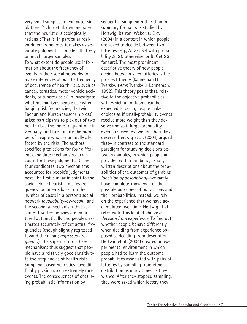very small samples. In computer simulations Pachur et al. demonstrated that the heuristic is ecologically rational: That is, in particular realworld environments, it makes as accurate judgments as models that rely on much larger samples. To what extent do people use information about the frequency of events in their social networks to make inferences about the frequency of occurrence of health risks, such as cancer, tornados, motor vehicle accidents, or tuberculosis? To investigate what mechanisms people use when judging risk frequencies, Hertwig, Pachur, and Kurzenhäuser (in press) asked participants to pick out of two health risks the more frequent one in Germany, and to estimate the number of people who are annually affected by the risks. The authors specified predictions for four different candidate mechanisms to account for these judgments. Of the four candidates, two mechanisms accounted for people's judgments best. The first, similar in spirit to the social-circle heuristic, makes frequency judgments based on the number of cases in a person's social network *(availability-by-recall)*; and the second, a mechanism that assumes that frequencies are monitored automatically and people's estimates accurately reflect actual frequencies (though slightly regressed toward the mean; *regressed-frequency*). The superior fit of these mechanisms thus suggest that people have a relatively good sensitivity to the frequencies of health risks. Sampling-based heuristics have difficulty picking up on extremely rare events. The consequences of obtaining probabilistic information by

sequential sampling rather than in a summary format was studied by Hertwig, Barron, Weber, & Erev (2004) in a context in which people are asked to decide between two lotteries (e.g., A: Get \$4 with probability .8, \$0 otherwise, or B: Get \$3 for sure). The most prominent descriptive theory of how people decide between such lotteries is the prospect theory (Kahneman & Tversky, 1979; Tversky & Kahneman, 1992). This theory posits that, relative to the objective probabilities with which an outcome can be expected to occur, people make choices as if small-probability events receive more weight than they deserve and as if large-probability events receive less weight than they deserve. Hertwig et al. (2004) argued that—in contrast to the standard paradigm for studying decisions between gambles, in which people are provided with a symbolic, usually written descriptions about the probabilities of the outcomes of gambles *(decision by description)*—we rarely have complete knowledge of the possible outcomes of our actions and their probabilities. Instead, we rely on the experience that we have accumulated over time. Hertwig et al. referred to this kind of choice as a *decision from experience.* To find out whether people behave differently when deciding from experience opposed to deciding from description, Hertwig et al. (2004) created an experimental environment in which people had to learn the outcome probabilities associated with pairs of lotteries by sampling from either distribution as many times as they wished. After they stopped sampling, they were asked which lottery they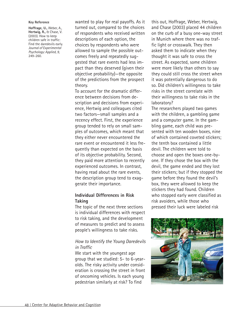#### **Key Reference**

**Hoffrage, U.,** Weber, A., **Hertwig, R.,** & Chase, V. (2003). How to keep children safe in traffic: Find the daredevils early. *Journal of Experimental Psychology: Applied, 9,* 249–260.

wanted to play for real payoffs. As it turned out, compared to the choices of respondents who received written descriptions of each option, the choices by respondents who were allowed to sample the possible outcomes freely and repeatedly suggested that rare events had less impact than they deserved (given their objective probability)—the opposite of the predictions from the prospect theory.

To account for the dramatic difference between decisions from description and decisions from experience, Hertwig and colleagues cited two factors—small samples and a recency effect. First, the experience group tended to rely on small samples of outcomes, which meant that they either never encountered the rare event or encountered it less frequently than expected on the basis of its objective probability. Second, they paid more attention to recently experienced outcomes. In contrast, having read about the rare events, the description group tend to exaggerate their importance.

## **Individual Differences in Risk Taking**

The topic of the next three sections is individual differences with respect to risk taking, and the development of measures to predict and to assess people's willingness to take risks.

## *How to Identify the Young Daredevils in Traffic*

We start with the youngest age group that we studied: 5- to 6-yearolds. The risky activity under consideration is crossing the street in front of oncoming vehicles. Is each young pedestrian similarly at risk? To find

this out, Hoffrage, Weber, Hertwig, and Chase (2003) placed 44 children on the curb of a busy one-way street in Munich where there was no traffic light or crosswalk. They then asked them to indicate when they thought it was safe to cross the street. As expected, some children were more likely than others to say they could still cross the street when it was potentially dangerous to do so. Did children's willingness to take risks in the street correlate with their willingness to take risks in the laboratory?

The researchers played two games with the children, a gambling game and a computer game. In the gambling game, each child was presented with ten wooden boxes, nine of which contained coveted stickers; the tenth box contained a little devil. The children were told to choose and open the boxes one-byone. If they chose the box with the devil, the game ended and they lost their stickers; but if they stopped the game before they found the devil's box, they were allowed to keep the stickers they had found. Children who stopped early were classified as risk avoiders, while those who pressed their luck were labeled risk

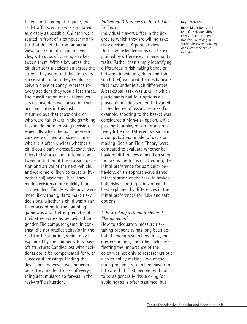takers. In the computer game, the real-traffic scenario was simulated as closely as possible. Children were seated in front of a computer monitor that depicted—from an aerial view—a stream of oncoming vehicles, with gaps of varying size between them. With a key press, the children sent a pedestrian across the street. They were told that for every successful crossing they would receive a piece of candy, whereas for every accident they would lose three. The classification of risk takers versus risk avoiders was based on their accident rates in this task. It turned out that those children who were risk takers in the gambling task made more crossing decisions, especially when the gaps between cars were of medium size—a time when it is often unclear whether a child could safely cross. Second, they tolerated shorter time intervals between initiation of the crossing decision and arrival of the next vehicle, and were more likely to cause a (hypothetical) accident. Third, they made decisions more quickly than risk avoiders. Finally, while boys were more likely than girls to make risky decisions, whether a child was a risk taker according to the gambling game was a far better predictor of their street-crossing behavior than gender. The computer game, in contrast, did not predict behavior in the real-traffic situation, which may be explained by the compensatory payoff structure: Candies lost with accidents could be compensated for with successful crossings. Finding the devil's box, however, was noncompensatory and led to loss of everything accumulated so far—as in the real-traffic situation.

## *Individual Differences in Risk Taking in Sports*

Individual players differ in the degree to which they are willing take risky decisions. A popular view is that such risky decisions can be explained by differences in personality traits. Rather than simply identifying differences in risk-taking behavior between individuals, Raab and Johnson (2004) explored the mechanisms that may underlie such differences. A basketball task was used in which participants had four options displayed on a video screen that varied in the degree of associated risk. For example, shooting to the basket was considered a high-risk option, while passing to a play maker entails relatively little risk. Different versions of a computational model of decision making, Decision Field Theory, were compared to evaluate whether behavioral differences depend on such factors as the focus of attention, the initial preference for particular behaviors, or an approach-avoidance interpretation of the task. In basketball, risky shooting behavior can be best explained by differences in the initial preferences for risky and safe options.

### *Is Risk Taking a Domain-General Phenomenon?*

How to adequately measure risktaking propensity has long been debated among researchers in psychology, economics, and other fields reflecting the importance of the construct not only to researchers but also to policy making. Two of the main problems researchers have run into are that, first, people tend not to be as generally risk seeking (or avoiding) as is often assumed, but

#### **Key Reference**

**Raab, M.,** & Johnson, J. (2004). Individual differences of action-orientation for risk-taking in sports. *Research Quarterly and Exercise Sport, 75,* 326–336.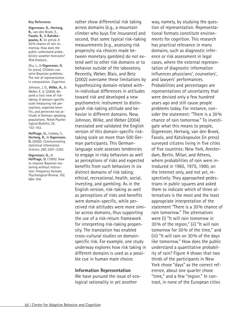#### **Key References**

**Gigerenzer, G., Hertwig, R.,** van den Broek, E., **Fasolo, B.,** & **Katsikopoulos, K.** (in press). A 30% chance of rain tomorrow. How does the public understand probabilistic weather forecasts? *Risk Analysis*..

Zhu, L., & **Gigerenzer, G.** (in press). Children can solve Bayesian problems: The role of representation in computation. *Cognition.*

Johnson, J. G., **Wilke, A.,** & Weber, E. U. (2004). Beyond a trait view of risktaking: A domain-specific scale measuring risk perceptions, expected benefits, and perceived risk attitude in German-speaking populations. *Polish Psychological Bulletin, 35,* 153–163.

**Hoffrage, U.,** Lindsey, S., **Hertwig, R.,** & **Gigerenzer, G.** (2000). Communicating statistical information. *Science, 290,* 2261–2262.

**Gigerenzer, G.,** & **Hoffrage, U.** (1995). How to improve Bayesian reasoning without instruction: Frequency formats. *Psychological Review, 102,* 684–704.

rather show differential risk taking across domains (e.g., a mountain climber who buys fire insurance) and second, that some typical risk–taking measurements (e.g., assessing risk propensity via choices made between monetary gambles) do not extend well to other risk domains or to behavior outside of the laboratory. Recently, Weber, Blais, and Betz (2002) overcame these limitations by hypothesizing domain-related within-individual differences in attitudes toward risk and developed a new psychometric instrument to distinguish risk-taking attitude and behavior in different domains. Now, Johnson, Wilke, and Weber (2004) translated and validated the English version of this domain-specific risktaking scale on more than 500 German participants. This Germanlanguage scale assesses tendencies to engage in risky behaviors as well as perceptions of risks and expected benefits from such behaviors in six distinct domains of risk taking: ethical, recreational, health, social, investing, and gambling. As in the English version, risk-taking as well as perceptions of risks and benefits were domain-specific, while perceived risk attitudes were more similar across domains, thus supporting the use of a risk-return framework for interpreting risk-taking propensity. The translation has enabled cross-cultural studies on domainspecific risk. For example, one study underway explores how risk taking in different domains is used as a possible cue in human mate choice.

### **Information Representation**

We have pursued the issue of ecological rationality in yet another

way, namely, by studying the question of representation. Representational formats constitute environments for cognition. This research has practical relevance in many domains, such as diagnostic inference or risk assessment in legal cases, where the external representation of diagnostic information influences physicians', counselors', and lawyers' performances. Probabilities and percentages are representations of uncertainty that were devised only a few hundred years ago and still cause people problems today. For instance, consider the statement: "There is a 30% chance of rain tomorrow." To investigate what this means to people, Gigerenzer, Hertwig, van den Broek, Fasolo, and Katsikopoulos (in press) surveyed citizens living in five cities of five countries: New York, Amsterdam, Berlin, Milan, and Athens, where probabilities of rain were introduced in 1965, 1975, 1990, on the Internet only, and not yet, respectively. They approached pedestrians in public squares and asked them to indicate which of three alternatives is the most and the least appropriate interpretation of the statement "There is a 30% chance of rain tomorrow." The alternatives were (i) "It will rain tomorrow in 30% of the region," (ii) "It will rain tomorrow for 30% of the time," and (iii) "It will rain on 30% of the days like tomorrow." How does the public understand a quantitative probability of rain? Figure 4 shows that two thirds of the participants in New York chose "days" as the correct reference, about one quarter chose "time," and a few "region." In contrast, in none of the European cities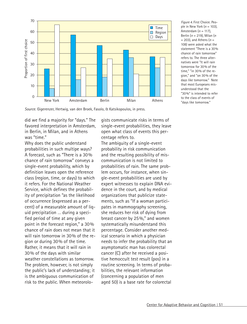

*Figure 4.* First Choice. People in New York  $(n = 103)$ . Amsterdam (*n* = 117), Berlin (*n* = 219), Milan (*n*  $= 203$ ), and Athens ( $n =$ 108) were asked what the statement "There is a 30% chance of rain tomorrow" refers to. The three alternatives were "It will rain tomorrow for 30% of the time," "in 30% of the region," and "on 30% of the days like tomorrow." Note that most Europeans misunderstood that the "30%" is intended to refer to the class of events of "days like tomorrow."

*Source.* Gigerenzer, Hertwig, van den Broek, Fasolo, & Katsikopoulos, in press.

did we find a majority for "days." The favored interpretation in Amsterdam, in Berlin, in Milan, and in Athens was "time."

Why does the public understand probabilities in such multipe ways? A forecast, such as "There is a 30% chance of rain tomorrow" conveys a single-event probability, which by definition leaves open the reference class (region, time, or days) to which it refers. For the National Weather Service, which defines the probability of precipitation "as the likelihood of occurrence (expressed as a percent) of a measurable amount of liquid precipitation … during a specified period of time at any given point in the forecast region," a 30% chance of rain does not mean that it will rain tomorrow in 30% of the region or during 30% of the time. Rather, it means that it will rain in 30% of the days with similar weather constellations as tomorrow. The problem, however, is not simply the public's lack of understanding; it is the ambiguous communication of risk to the public. When meteorologists communicate risks in terms of single-event probabilities, they leave open what class of events this percentage refers to.

The ambiguity of a single-event probability in risk communication and the resulting possibility of miscommunication is not limited to probabilities of rain. The same problem occurs, for instance, when single-event probabilities are used by expert witnesses to explain DNA evidence in the court, and by medical organizations that publicize statements, such as "If a woman participates in mammography screening, she reduces her risk of dying from breast cancer by 25%," and women systematically misunderstand this percentage. Consider another medical scenario in which a physician needs to infer the probability that an asymptomatic man has colorectal cancer (C) after he received a positive hemoccult test result (pos) in a routine screening. In terms of probabilities, the relevant information (concerning a population of men aged 50) is a base rate for colorectal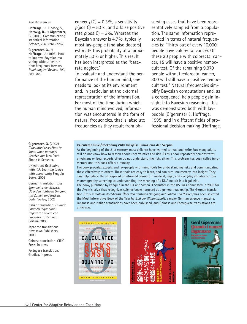#### **Key References**

**Hoffrage, U.,** Lindsey, S., **Hertwig, R.,** & **Gigerenzer, G.** (2000). Communicating statistical information. *Science, 290,* 2261–2262.

**Gigerenzer, G.,** & **Hoffrage, U.** (1995). How to improve Bayesian reasoning without instruction: Frequency formats. *Psychological Review, 102,* 684–704.

**Gigerenzer, G.** (2002). *Calculated risks: How to know when numbers deceive you*. New York: Simon & Schuster.

UK edition: *Reckoning with risk: Learning to live with uncertainty.* Penguin Books, 2003

German translation: *Das Einmaleins der Skepsis. Über den richtigen Umgang mit Zahlen und Risiken.* Berlin Verlag, 2002

Italian translation: *Quando i numeri ingannano: Imparare a vivere con l'incertezza.* Raffaelo Cortina, 2003

Japanese translation: Hayakawa Publishers, 2003.

Chinese translation: CITIC Press, in press

Portugese translation: Gradiva, in press.

cancer  $p(C) = 0.3\%$ , a sensitivity  $p(pos|C) = 50\%$ , and a false positive rate  $p(pos|C) = 3\%$ . Whereas the Bayesian answer is 4.7%, typically most lay-people (and also doctors) estimate this probability at approximately 50% or higher. This result has been interpreted as the "baserate neglect."

To evaluate and understand the performance of the human mind, one needs to look at its environment and, in particular, at the external representation of the information. For most of the time during which the human mind evolved, information was encountered in the form of natural frequencies, that is, absolute frequencies as they result from observing cases that have been representatively sampled from a population. The same information represented in terms of natural frequencies is: "Thirty out of every 10,000 people have colorectal cancer. Of these 30 people with colorectal cancer, 15 will have a positive hemoccult test. Of the remaining 9,970 people without colorectal cancer, 300 will still have a positive hemoccult test." Natural frequencies simplify Bayesian computations and, as a consequence, help people gain insight into Bayesian reasoning. This was demonstrated both with laypeople (Gigerenzer & Hoffrage, 1995) and in different fields of professional decision making (Hoffrage,

#### **Calculated Risks/Reckoning With Risk/Das Einmaleins der Skepsis**

At the beginning of the 21st century, most children have learned to read and write, but many adults still do not know how to reason about uncertainties and risk. As this book repeatedly demonstrates, physicians or legal experts often do not understand the risks either. This problem has been called innumeracy, and this book offers a remedy.

The book provides experts and lay-people with mind tools for understanding risks and communicating these effectively to others. These tools are easy to learn, and can turn innumeracy into insight. They can help reduce the widespread uninformed consent in medical, legal, and everyday situations, from mammography screening to understanding the meaning of a DNA match in a legal trial.

The book, published by Penguin in the UK and Simon & Schuster in the US, was nominated in 2003 for the Aventis prize that recognizes science books targeted at a general readership. The German translation *(Das Einmaleins der Skepsis: Über den richtigen Umgang mit Zahlen und Risiken)* has been selected the Most Informative Book of the Year by *Bild der Wissenschaft,* a major German science magazine. Japanese and Italian translations have been published, and Chinese and Portuguese translations are underway.





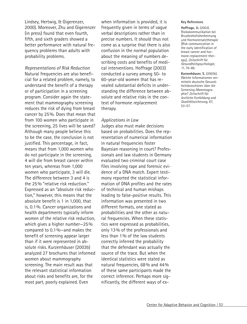Lindsey, Hertwig, & Gigerenzer, 2000). Moreover, Zhu and Gigerenzer (in press) found that even fourth, fifth, and sixth graders showed a better performance with natural frequency problems than adults with probability problems.

*Representations of Risk Reduction* Natural frequencies are also beneficial for a related problem, namely, to understand the benefit of a therapy or of participation in a screening program. Consider again the statement that mammography screening reduces the risk of dying from breast cancer by 25%. Does that mean that from 100 women who participate in the screening, 25 lives will be saved? Although many people believe this to be the case, the conclusion is not justified. This percentage, in fact, means that from 1,000 women who do not participate in the screening, 4 will die from breast cancer within ten years, whereas from 1,000 women who participate, 3 will die. The difference between 3 and 4 is the 25% "relative risk reduction." Expressed as an "absolute risk reduction," however, this means that the absolute benefit is 1 in 1,000, that is, 0.1%. Cancer organizations and health departments typically inform women of the relative risk reduction, which gives a higher number—25% compared to 0.1%—and makes the benefit of screening appear larger than if it were represented in absolute risks. Kurzenhäuser (2003b) analyzed 27 brochures that informed women about mammography screening. The main result was that the relevant statistical information about risks and benefits are, for the most part, poorly explained. Even

when information is provided, it is frequently given in terms of vague verbal descriptions rather than in precise numbers. It should thus not come as a surprise that there is also confusion in the normal population about the meaning of numbers describing costs and benefits of medical interventions. Hoffrage (2003) conducted a survey among 50- to 60-year-old women that has revealed substantial deficits in understanding the difference between absolute and relative risks in the context of hormone replacement therapy.

### *Applications in Law*

Judges also must make decisions based on probabilities. Does the representation of numerical information in natural frequencies foster Bayesian reasoning in court? Professionals and law students in Germany evaluated two criminal court case files involving rape and forensic evidence of a DNA match. Expert testimony reported the statistical information of DNA profiles and the rates of technical and human mishaps leading to false-positive results. This information was presented in two different formats, one stated as probabilities and the other as natural frequencies. When these statistics were expressed as probabilities, only 13% of the professionals and less than 1% of the law students correctly inferred the probability that the defendant was actually the source of the trace. But when the identical statistics were stated as natural frequencies, 68% and 44% of these same participants made the correct inference. Perhaps more significantly, the different ways of ex-

#### **Key References**

**Hoffrage, U.** (2003). Risikokommunikation bei Brustkrebsfrüherkennung und Hormonersatztherapie [Risk communication in the early identification of breast cancer and hormone-replacement therapy]. *Zeitschrift für Gesundheitspsychologie, 11,* 76–86.

**Kurzenhäuser, S.** (2003b). Welche Informationen vermitteln deutsche Gesundheitsbroschüren über die Screening-Mammographie? *Zeitschrift für ärztliche Fortbildung und Qualitätssicherung, 97,* 53–57.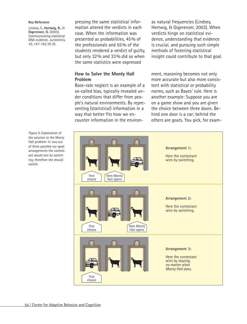#### **Key Reference**

Lindsey, S., **Hertwig, R.,** & **Gigerenzer, G.** (2003). Communicating statistical DNA evidence. *Jurimetrics, 43, 147–163,* VII-IX.

pressing the same statistical information altered the verdicts in each case. When the information was presented as probabilities, 45% of the professionals and 55% of the students rendered a verdict of guilty, but only 32% and 33% did so when the same statistics were expressed

as natural frequencies (Lindsey, Hertwig, & Gigerenzer, 2003). When verdicts hinge on statistical evidence, understanding that evidence is crucial, and pursuing such simple methods of fostering statistical insight could contribute to that goal.

### **How to Solve the Monty Hall Problem**

Base-rate neglect is an example of a so-called bias, typically revealed under conditions that differ from people's natural environments. By representing (statistical) information in a way that better fits how we encounter information in the environ-

ment, reasoning becomes not only more accurate but also more consistent with statistical or probability norms, such as Bayes' rule. Here is another example: Suppose you are on a game show and you are given the choice between three doors. Behind one door is a car; behind the others are goats. You pick, for exam-



*Figure 5.* Explanation of the solution to the Monty Hall problem: In two out of three possible car-goat arrangements the contestant would win by switching; therefore she should switch.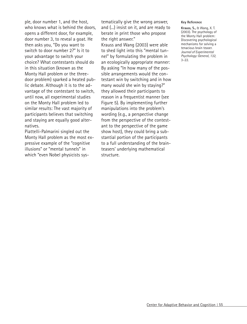ple, door number 1, and the host, who knows what is behind the doors, opens a different door, for example, door number 3, to reveal a goat. He then asks you, "Do you want to switch to door number 2?" Is it to your advantage to switch your choice? What contestants should do in this situation (known as the Monty Hall problem or the threedoor problem) sparked a heated public debate. Although it is to the advantage of the contestant to switch, until now, all experimental studies on the Monty Hall problem led to similar results: The vast majority of participants believes that switching and staying are equally good alternatives.

Piattelli-Palmarini singled out the Monty Hall problem as the most expressive example of the "cognitive illusions" or "mental tunnels" in which "even Nobel physicists systematically give the wrong answer, and (...) insist on it, and are ready to berate in print those who propose the right answer." Krauss and Wang (2003) were able to shed light into this "mental tunnel" by formulating the problem in an ecologically appropriate manner: By asking "In how many of the possible arrangements would the contestant win by switching and in how many would she win by staying?" they allowed their participants to reason in a frequentist manner (see Figure 5). By implementing further manipulations into the problem's wording (e.g., a perspective change from the perspective of the contestant to the perspective of the game show host), they could bring a substantial portion of the participants to a full understanding of the brainteasers' underlying mathematical structure.

#### **Key Reference**

**Krauss, S.,** & Wang, X. T. (2003). The psychology of the Monty Hall problem: Discovering psychological mechanisms for solving a tenacious brain teaser. *Journal of Experimental Psychology: General, 132,*  $3 - 22$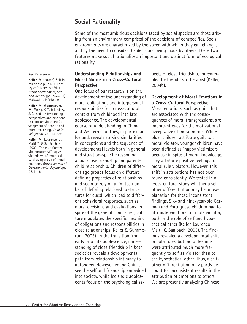# **Social Rationality**

Some of the most ambitious decisions faced by social species are those arising from an environment comprised of the decisions of conspecifics. Social environments are characterized by the speed with which they can change, and by the need to consider the decisions being made by others. These two features make social rationality an important and distinct form of ecological rationality.

### **Key References**

**Keller, M.** (2004b). Self in relationship. In D. K. Lapsley & D. Narvaez (Eds.), *Moral development, self, and identity* (pp. 267-298). Mahwah, NJ: Erlbaum.

### **Keller, M., Gummerum,**

**M.,** Wang, X. T., & Lindsey, S. (2004). Understanding perspectives and emotions in contract violation: Development of deontic and moral reasoning. *Child Development, 75,* 614–635.

**Keller, M.,** Lourenço, O., Malti, T., & Saalbach, H. (2003). The multifaceted phenomenon of "happy victimizers": A cross-cultural comparison of moral emotions. *British Journal of Developmental Psychology, 21,* 1–18.

# **Understanding Relationships and Moral Norms in a Cross-Cultural Perspective**

One focus of our research is on the development of the understanding of moral obligations and interpersonal responsibilities in a cross-cultural context from childhood into late adolescence. The developmental course of understanding in China and Western countries, in particular Iceland, reveals striking similarities in conceptions and the sequence of developmental levels both in general and situation-specific reasoning about close friendship and parentchild relationship. Children of different age groups focus on different defining properties of relationships, and seem to rely on a limited number of defining relationship structures (or cues), which lead to different behavioral responses, such as moral decisions and evaluations. In spite of the general similarities, culture modulates the specific meaning of obligations and responsibilities in close relationships (Keller & Gummerum, 2003). In the transition from early into late adolescence, understanding of close friendship in both societies reveals a developmental path from relationship intimacy to autonomy. However, young Chinese see the self and friendship embedded into society, while Icelandic adolescents focus on the psychological aspects of close friendship, for example. the friend as a therapist (Keller, 2004b).

### **Development of Moral Emotions in a Cross-Cultural Perspective**

Moral emotions, such as guilt that are associated with the consequences of moral transgressions, are important cues for the motivational acceptance of moral norms. While older children attribute guilt to a moral violator, younger children have been defined as "happy victimizers" because in spite of moral knowledge, they attribute positive feelings to moral rule violators. However, this shift in attributions has not been found consistently. We tested in a cross-cultural study whether a selfother differentiation may be an explanation for these inconsistent findings. Six- and nine-year-old German and Portuguese children had to attribute emotions to a rule violator, both in the role of self and hypothetical other (Keller, Lourenço, Malti, & Saalbach, 2003). The findings revealed a developmental shift in both roles, but moral feelings were attributed much more frequently to self as violator than to the hypothetical other. Thus, a selfother differentiation only partly account for inconsistent results in the attribution of emotions to others. We are presently analyzing Chinese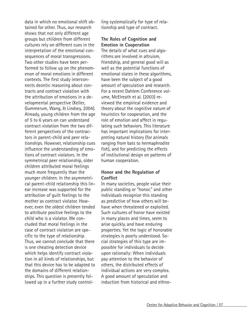data in which no emotional shift obtained for other. Thus, our research shows that not only different age groups but children from different cultures rely on different cues in the interpretation of the emotional consequences of moral transgressions. Two other studies have been performed to follow up on the phenomenon of moral emotions in different contexts. The first study interconnects deontic reasoning about contracts and contract violation with the attribution of emotions in a developmental perspective (Keller, Gummerum, Wang, & Lindsey, 2004). Already, young children from the age of 5 to 6 years on can understand contract violation from the two different perspectives of the contractors in parent-child and peer relationships. However, relationship cues influence the understanding of emotions of contract violators. In the symmetrical peer relationship, older children attributed moral feelings much more frequently than the younger children. In the asymmetrical parent-child relationship this linear increase was supported for the attribution of guilt feelings to the mother as contract violator. However, even the oldest children tended to attribute positive feelings to the child who is a violator. We concluded that moral feelings in the case of contract violation are specific to the type of relationship. Thus, we cannot conclude that there is one cheating detection device which helps identify contract violation in all kinds of relationships, but that this device has to be adapted to the domains of different relationships. This question is presently followed up in a further study controlling systematically for type of relationship and type of contract.

# **The Roles of Cognition and Emotion in Cooperation**

The details of what cues and algorithms are involved in altruism, friendship, and general good will as well as the potential functions of emotional states in these algorithms, have been the subject of a good amount of speculation and research. For a recent Dahlem Conference volume, McElreath et al. (2003) reviewed the empirical evidence and theory about the cognitive nature of heuristics for cooperation, and the role of emotion and affect in regulating such behaviors. This literature has important implications for interpreting natural history (for animals ranging from bats to hermaphrodite fish), and for predicting the effects of institutional design on patterns of human cooperation.

### **Honor and the Regulation of Conflict**

In many societies, people value their public standing or "honor," and other individuals recognize this standing as predictive of how others will behave when threatened or exploited. Such cultures of honor have existed in many places and times, seem to arise quickly, and have enduring properties. Yet the logic of honorable strategies is poorly understood. Social strategies of this type are impossible for individuals to decide upon rationally: When individuals pay attention to the behavior of others, the distributed effects of individual actions are very complex. A good amount of speculation and induction from historical and ethno-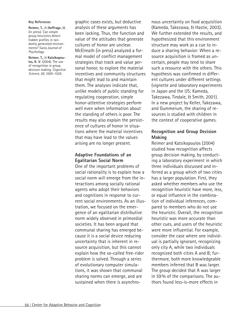#### **Key References**

**Reimer, T.,** & **Hoffrage, U.** (in press). Can simple group heuristics detect hidden profiles in randomly generated environments? *Swiss Journal of Psychology.*

**Reimer, T.,** & **Katsikopoulos, K. V**. (2004). The use of recognition in group decision making. *Cognitive Science, 28,* 1009–1029.

graphic cases exists, but deductive analysis of these arguments has been lacking. Thus, the function and value of the attitudes that generate cultures of honor are unclear. McElreath (in press) analyzed a formal model of conflict management strategies that track and value personal honor, to explore the material incentives and community structures that might lead to and maintain them. The analyses indicate that, unlike models of public standing for regulating cooperation, simple honor-attentive strategies perform well even when information about the standing of others is poor. The results may also explain the persistence of cultures of honor in situations where the material incentives that may have lead to the values arising are no longer present.

## **Adaptive Foundations of an Egalitarian Social Norm**

One of the important problems of social rationality is to explain how a social norm will emerge from the interactions among socially rational agents who adopt their behaviors and cognitions in response to current social environments. As an illustration, we focused on the emergence of an egalitarian distributive norm widely observed in primordial societies. It has been argued that communal sharing has emerged because it is a social device reducing uncertainty that is inherent in resource acquisition, but this cannot explain how the so-called free-rider problem is solved. Through a series of evolutionary computer simulations, it was shown that communal sharing norms can emerge, and are sustained when there is asynchronous uncertainty on food acquisition (Kameda, Takezawa, & Hastie, 2003). We further extended the results, and hypothesized that this environment structure may work as a cue to induce a sharing behavior: When a resource acquisition is framed as uncertain, people may tend to share such a resource with the others. This hypothesis was confirmed in different cultures under different settings (vignette and laboratory experiments in Japan and the US; Kameda, Takezawa, Tindale, & Smith, 2001). In a new project by Keller, Takezawa, and Gummerum, the sharing of resources is studied with children in the context of cooperative games.

# **Recognition and Group Decision Making**

Reimer and Katsikopoulos (2004) studied how recognition affects group decision making, by conducting a laboratory experiment in which three individuals discussed and inferred as a group which of two cities has a larger population. First, they asked whether members who use the recognition heuristic have more, less, or equal influence in the combination of individual inferences, compared to members who do not use the heuristic. Overall, the recognition heuristic was more accurate than other cues, and users of the heuristic were more influential. For example, consider the case where one individual is partially ignorant, recognizing only city A, while two individuals recognized both cities A and B; furthermore, both more knowledgeable members inferred that B was larger. The group decided that A was larger in 59% of the comparisons. The authors found less-is-more effects in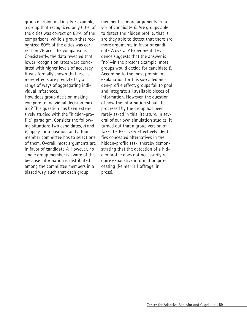group decision making. For example, a group that recognized only 60% of the cities was correct on 83% of the comparisons, while a group that recognized 80% of the cities was correct on 75% of the comparisons. Consistently, the data revealed that lower recognition rates were correlated with higher levels of accuracy. It was formally shown that less-ismore effects are predicted by a range of ways of aggregating individual inferences.

How does group decision making compare to individual decision making? This question has been extensively studied with the "hidden-profile" paradigm. Consider the following situation: Two candidates, *A* and *B,* apply for a position, and a fourmember committee has to select one of them. Overall, most arguments are in favor of candidate *A.* However, no single group member is aware of this because information is distributed among the committee members in a biased way, such that each group

member has more arguments in favor of candidate *B.* Are groups able to detect the hidden profile, that is, are they able to detect that there are more arguments in favor of candidate *A* overall? Experimental evidence suggests that the answer is "no"—in the present example, most groups would decide for candidate *B.* According to the most prominent explanation for this so-called hidden-profile effect, groups fail to pool and integrate all available pieces of information. However, the question of how the information should be processed by the group has been rarely asked in this literature. In several of our own simulation studies, it turned out that a group version of Take The Best very effectively identifies concealed alternatives in the hidden-profile task, thereby demonstrating that the detection of a hidden profile does not necessarily require exhaustive information processing (Reimer & Hoffrage, in press).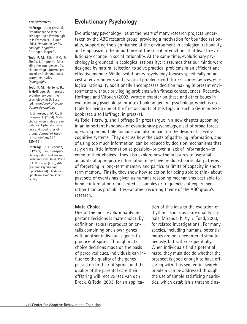#### **Key References**

**Hoffrage, U.** (in press-a). Evolutionäre Ansätze in der kognitiven Psychologie. In P. Frensch & J. Funke (Eds.). *Handbuch der Psychologie: Kognition.* Göttingen: Hogrefe.

**Todd, P. M.,** Billari, F. C., & Simão, J. (in press). Modeling the emergence of social marriage patterns produced by individual matesearch heuristics. *Demography.*

**Todd, P. M., Hertwig, R.,** & **Hoffrage, U.** (in press). Evolutionary cognitive psychology. In D. Buss (Ed.), *Handbook of Evolutionary Psychology.*

**Hutchinson, J. M. C.,** & Halupka, K. (2004). Mate choice when males are in patches: Optimal strategies and good rules of thumb. *Journal of Theoretical Biology, 231,* 129–151*.*

**Hoffrage, U.,** & Vitouch, O. (2002). Evolutionspsychologie des Denkens und Problemlösens. In W. Prinz & J. Müsseler (Eds.), *Allgemeine Psychologie* (pp. 734–794). Heidelberg: Spektrum Akademischer Verlag.

# **Evolutionary Psychology**

Evolutionary psychology lies at the heart of many research projects undertaken by the ABC research group, providing a motivation for bounded rationality, supporting the significance of the environment in ecological rationality, and emphasizing the importance of the social interactions that lead to evolutionary change in social rationality. At the same time, evolutionary psychology is grounded in ecological rationality: It assumes that our minds were designed by natural selection to solve practical problems in an efficient and effective manner. While evolutionary psychology focuses specifically on ancestral environments and practical problems with fitness consequences, ecological rationality additionally encompasses decision making in present environments without privileging problems with fitness consequences. Recently, Hoffrage and Vitouch (2002) wrote a chapter on these and other issues in evolutionary psychology for a textbook on general psychology, which is notable for being one of the first accounts of this topic in such a German textbook (see also Hoffrage, in press-a).

As Todd, Hertwig, and Hoffrage (in press) argue in a new chapter upcoming in an important handbook of evolutionary psychology, a set of broad forces operating on multiple domains can also impact on the design of specific cognitive systems. They discuss how the costs of gathering information, and of using too much information, can be reduced by decision mechanisms that rely on as little information as possible—or even a lack of information—to come to their choices. They also explore how the pressures to use small amounts of appropriate information may have produced particular patterns of forgetting in long-term memory and particular limits of capacity in shortterm memory. Finally, they show how selection for being able to think about past sets of events has given us humans reasoning mechanisms best able to handle information represented as samples or frequencies of experience rather than as probabilities—another recurring theme of the ABC group's research.

### **Mate Choice**

One of the most evolutionarily important decisions is mate choice. By definition, sexual reproduction entails combining one's own genes with another individual's genes to produce offspring. Through mate choice decisions made on the basis of perceived cues, individuals can influence the quality of the genes passed on to their offspring, and the quality of the parental care their offspring will receive (see van den Broek, & Todd, 2003, for an application of this idea to the evolution of rhythmic songs as mate quality signals; Miranda, Kirby, & Todd, 2003, for related investigations). For many species, including humans, potential mates are not encountered simultaneously, but rather sequentially. When individuals find a potential mate, they must decide whether the prospect is good enough to have offspring with. This sequential search problem can be addressed through the use of simple satisficing heuristics, which establish a threshold as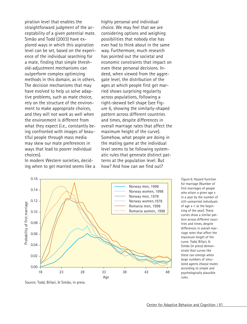piration level that enables the straightforward judgment of the acceptability of a given potential mate. Simão and Todd (2003) have explored ways in which this aspiration level can be set, based on the experience of the individual searching for a mate, finding that simple threshold-adjustment mechanisms can outperform complex optimizing methods in this domain, as in others. The decision mechanisms that may have evolved to help us solve adaptive problems, such as mate choice, rely on the structure of the environment to make appropriate choices, and they will not work as well when the environment is different from what they expect (i.e., constantly being confronted with images of beautiful people through mass media may skew our mate preferences in ways that lead to poorer individual choices).

In modern Western societies, deciding when to get married seems like a highly personal and individual choice. We may feel that we are considering options and weighing possibilities that nobody else has ever had to think about in the same way. Furthermore, much research has pointed out the societal and economic constraints that impact on even these personal decisions. Indeed, when viewed from the aggregate level, the distribution of the ages at which people first get married shows surprising regularity across populations, following a right-skewed bell shape (see Figure 6, showing the similarly-shaped pattern across different countries and times, despite differences in overall marriage rates that affect the maximum height of the curve). Somehow, what people are doing in the mating game at the individual level seems to be following systematic rules that generate distinct patterns at the population level. But how? And how can we find out?



*Figure 6.* Hazard function for marriage (Number of first marriages of people who attain a given age x in a year by the number of still-unmarried individuals of age x-1 at the beginning of the year). These curves show a similar pattern across different countries and times, despite differences in overall marriage rates that affect the maximum height of the curve. Todd, Billari, & Simão (in press) demonstrate that curves like these can emerge when large numbers of simulated agents choose mates according to simple and psychologically plausible rules.

Source. Todd, Billari, & Simão, in press.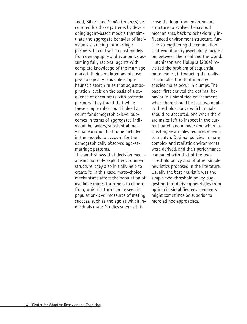Todd, Billari, and Simão (in press) accounted for these patterns by developing agent-based models that simulate the aggregate behavior of individuals searching for marriage partners. In contrast to past models from demography and economics assuming fully rational agents with complete knowledge of the marriage market, their simulated agents use psychologically plausible simple heuristic search rules that adjust aspiration levels on the basis of a sequence of encounters with potential partners. They found that while these simple rules could indeed account for demographic-level outcomes in terms of aggregated individual behaviors, substantial individual variation had to be included in the models to account for the demographically observed age-atmarriage patterns.

This work shows that decision mechanisms not only exploit environment structure, they also initially help to create it: In this case, mate-choice mechanisms affect the population of available mates for others to choose from, which in turn can be seen in population-level measures of mating success, such as the age at which individuals mate. Studies such as this

close the loop from environment structure to evolved behavioral mechanisms, back to behaviorally influenced environment structure, further strengthening the connection that evolutionary psychology focuses on, between the mind and the world. Hutchinson and Halupka (2004) revisited the problem of sequential mate choice, introducing the realistic complication that in many species males occur in clumps. The paper first derived the optimal behavior in a simplified environment when there should be just two quality thresholds above which a male should be accepted, one when there are males left to inspect in the current patch and a lower one when inspecting new males requires moving to a patch. Optimal policies in more complex and realistic environments were derived, and their performance compared with that of the twothreshold policy and of other simple heuristics proposed in the literature. Usually the best heuristic was the simple two-threshold policy, suggesting that deriving heuristics from optima in simplified environments might sometimes be superior to more ad hoc approaches.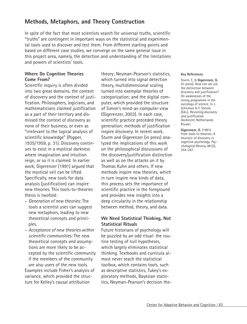# **Methods, Metaphors, and Theory Construction**

In spite of the fact that most scientists search for universal truths, scientific "truths" are contingent in important ways on the statistical and experimental tools used to discover and test them. From different starting points and based on different case studies, we converge on the same general issue in this project area, namely, the detection and understanding of the limitations and powers of scientists' tools.

## **Where Do Cognitive Theories Come From?**

Scientific inquiry is often divided into two great domains, the context of discovery and the context of justification. Philosophers, logicians, and mathematicians claimed justification as a part of their territory and dismissed the context of discovery as none of their business, or even as "irrelevant to the logical analysis of scientific knowledge" (Popper, 1935/1959, p. 31). Discovery continues to exist in a mystical darkness where imagination and intuition reign, or so it is claimed. In earlier work, Gigerenzer (1991) argued that the mystical veil can be lifted. Specifically, new tools for data analysis (justification) can inspire new theories. This tools-to-theories thesis is twofold:

- *Generation of new theories:* The tools a scientist uses can suggest new metaphors, leading to new theoretical concepts and principles.
- *Acceptance of new theories within scientific communities:* The new theoretical concepts and assumptions are more likely to be accepted by the scientific community if the members of the community are also users of the new tools. Examples include Fisher's analysis of variance, which provided the structure for Kelley's causal attribution

theory; Neyman-Pearson's statistics, which turned into signal detection theory, multidimensional scaling turned into exemplar theories of categorization; and the digital computer, which provided the structure of Simon's mind-as-computer view (Gigerenzer, 2003). In each case, scientific practice preceded theory generation; methods of justification inspire discovery. In recent work, Sturm and Gigerenzer (in press) analyzed the implications of this work on the philosophical discussions of the discovery/justification distinction as well as on the attacks on it by Thomas Kuhn and others. If new methods inspire new theories, which in turn inspire new kinds of data, this process sets the importance of scientific practice in the foreground and provides new insights into a deep circularity in the relationship between method, theory, and data.

## **We Need Statistical Thinking, Not Statistical Rituals**

Future historians of psychology will be puzzled by an odd ritual: the routine testing of null hypotheses, which largely eliminates statistical thinking. Textbooks and curricula almost never teach the statistical toolbox, which contains tools, such as descriptive statistics, Tukey's exploratory methods, Bayesian statistics, Neyman-Pearson's decision the-

### **Key References**

Sturm, T., & **Gigerenzer, G.** (in press). How can we use the distinction between discovery and justification? On weaknesses of the strong programme in the sociology of science. In J. Schickore & F. Steinle (Eds.), *Revisiting discovery and justification.* Dordrecht, Netherlands: Kluwer.

**Gigerenzer, G**. (1991). From tools to theories: A heuristic of discovery in cognitive psychology. *Psychological Review, 98* (2), 254–267.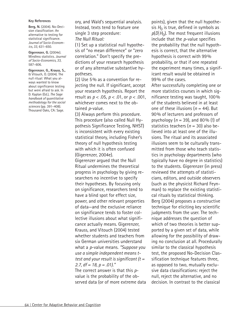#### **Key References**

**Berg, N.** (2004). No-Decision classification: An alternative to testing for statistical significance. *Journal of Socio-Economics, 33,* 631–650.

**Gigerenzer, G.** (2004e). Mindless statistics. *Journal of Socio-Economics, 33,* 587–606.

**Gigerenzer, G., Krauss, S.,** & Vitouch, O. (2004). The null ritual: What you always wanted to know about significance testing but were afraid to ask. In D. Kaplan (Ed.), *The Sage handbook of quantitative methodology for the social sciences* (pp. 391–408). Thousand Oaks, CA: Sage.

ory, and Wald's sequential analysis. Instead, texts tend to feature one single 3 step procedure: *The Null Ritual:*

(1) Set up a statistical null hypothesis of "no mean difference" or "zero correlation." Don't specify the predictions of your research hypothesis or of any alternative substantive hypotheses.

(2) Use 5% as a convention for rejecting the null. If significant, accept your research hypothesis. Report the result as *p* < .05, *p* < .01, or *p* < .001, whichever comes next to the obtained *p*-value.

(3) Always perform this procedure. This procedure (also called Null Hypothesis Significance Testing, NHST) is inconsistent with every existing statistical theory, including Fisher's theory of null hypothesis testing with which it is often confused (Gigerenzer, 2004e).

Gigerenzer argued that the Null Ritual undermines the theoretical progress in psychology by giving researchers no incentive to specify their hypotheses. By focusing only on significance, researchers tend to have a blind spot for effect size, power, and other relevant properties of data—and the exclusive reliance on significance tends to foster collective illusions about what significance actually means. Gigerenzer, Krauss, and Vitouch (2004) tested whether students and teachers from six German universities understand what a *p*-value means. *"Suppose you use a simple independent means ttest and your result is significant (t = 2.7, df = 18, p = .01)."*

The correct answer is that this *p*value is the probability of the observed data (or of more extreme data points), given that the null hypothesis  $H_0$  is true, defined in symbols as  $p(D|H_0)$ . The most frequent illusions include that the *p*-value specifies the probability that the null hypothesis is correct, that the alternative hypothesis is correct with 99% probability, or that if one repeated the experiment many times, a significant result would be obtained in 99% of the cases.

After successfully completing one or more statistics courses in which significance testing was taught, 100% of the students believed in at least one of these illusions (*n* = 44). But 90% of lecturers and professors of psychology (*n* = 39), and 80% (!) of statistics teachers (*n* = 30) also believed into at least one of the illusions. The ritual and its associated illusions seem to be culturally transmitted from those who teach statistics in psychology departments (who typically have no degree in statistics) to the students. Gigerenzer (in press) reviewed the attempts of statisticians, editors, and outside observers (such as the physicist Richard Feynman) to replace the existing statistical rituals by statistical thinking. Berg (2004) proposes a constructive technique for eliciting key scientific judgments from the user. The technique addresses the question of which of two theories is better supported by a given set of data, while allowing for the possibility of drawing no conclusion at all. Procedurally similar to the classical hypothesis test, the proposed No-Decision Classification technique features three, as opposed to two, mutually exclusive data classifications: reject the null, reject the alternative, and no decision. In contrast to the classical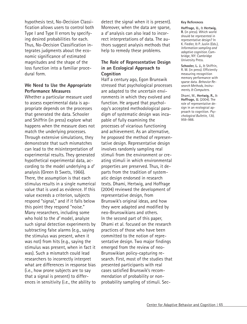hypothesis test, No-Decision Classification allows users to control both Type I and Type II errors by specifying desired probabilities for each. Thus, No-Decision Classification integrates judgments about the economic significance of estimated magnitudes and the shape of the loss function into a familiar procedural form.

## **We Need to Use the Appropriate Performance Measures**

Whether a particular measure used to assess experimental data is appropriate depends on the processes that generated the data. Schooler and Shiffrin (in press) explore what happens when the measure does not match the underlying processes. Through extensive simulations, they demonstrate that such mismatches can lead to the misinterpretation of experimental results. They generated hypothetical experimental data, according to the model underlying a *d'* analysis (Green & Swets, 1966). There, the assumption is that each stimulus results in a single numerical value that is used as evidence. If this value exceeds a criterion, subjects respond "signal," and if it falls below this point they respond "noise." Many researchers, including some who hold to the *d'* model, analyze such signal detection experiments by subtracting false alarms (e.g., saying the stimulus was present, when it was not) from hits (e.g., saying the stimulus was present, when in fact it was). Such a mismatch could lead researchers to incorrectly interpret what are differences in response bias (i.e., how prone subjects are to say that a signal is present) to differences in sensitivity (i.e., the ability to detect the signal when it is present). Moreover, when the data are sparse, a *d'* analysis can also lead to incorrect interpretations of data. The authors suggest analysis methods that help to remedy these problems.

## **The Role of Representative Design in an Ecological Approach to Cognition**

Half a century ago, Egon Brunswik stressed that psychological processes are adapted to the uncertain environments in which they evolved and function. He argued that psychology's accepted methodological paradigm of systematic design was incapable of fully examining the processes of vicarious functioning and achievement. As an alternative, he proposed the method of representative design. Representative design involves randomly sampling real stimuli from the environment or creating stimuli in which environmental properties are preserved. Thus, it departs from the tradition of systematic design endorsed in research texts. Dhami, Hertwig, and Hoffrage (2004) reviewed the development of representative design, from Brunswik's original ideas, and how they were adapted and modified by neo-Brunswikians and others. In the second part of this paper, Dhami et al. focused on the research practices of those who have been committed to the notion of representative design. Two major findings emerged from the review of neo-Brunswikian policy-capturing research. First, most of the studies that presented participants with real cases satisfied Brunswik's recommendation of probability or nonprobability sampling of stimuli. Sec-

#### **Key References**

**Hoffrage, U.,** & **Hertwig, R**. (in press). Which world should be represented in representative design? In K. Fiedler, & P. Juslin (Eds.), *Information sampling and adaptive cognition.* Cambridge, NY: Cambridge University Press.

**Schooler, L. J.,** & Shiffrin, R. M. (in press). Efficiently measuring recognition memory performance with sparse data. *Behavior Research Methods, Instruments, & Computers.*

Dhami, M., **Hertwig, R.,** & **Hoffrage, U.** (2004). The role of representative design in an ecological approach to cognition. *Psychological Bulletin, 130,* 959–988.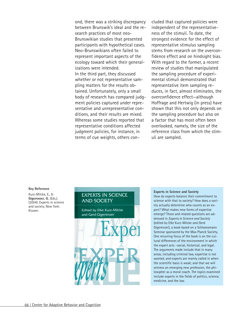ond, there was a striking discrepancy between Brunswik's ideal and the research practices of most neo-Brunswikian studies that presented participants with hypothetical cases. Neo-Brunswikians often failed to represent important aspects of the ecology toward which their generalizations were intended. In the third part, they discussed whether or not representative sampling matters for the results obtained. Unfortunately, only a small body of research has compared judgment policies captured under representative and unrepresentative conditions, and their results are mixed. Whereas some studies reported that representative conditions affected judgment policies, for instance, in terms of cue weights, others concluded that captured policies were independent of the representativeness of the stimuli. To date, the strongest evidence for the effect of representative stimulus sampling stems from research on the overconfidence effect and on hindsight bias. With regard to the former, a recent review of studies that manipulated the sampling procedure of experimental stimuli demonstrated that representative item sampling reduces, in fact, almost eliminates, the overconfidence effect—although Hoffrage and Hertwig (in press) have shown that this not only depends on the sampling procedure but also on a factor that has most often been overlooked, namely, the size of the reference class from which the stimuli are sampled.

#### **Key Reference**

Kurz-Milcke, E., & **Gigerenzer, G.** (Eds.). (2004). Experts in science and society. New York: Kluwer.

### **EXPERTS IN SCIENCE AND SOCIETY**

**Edited by Elke Kurz-Milcke** and Gerd Gigerenzer



#### **Experts in Science and Society**

How do experts balance their commitment to science with that to society? How does a society actually determine who counts as an expert? What makes new forms of expertise emerge? These and related questions are addressed in *Experts in Science and Society* (edited by Elke Kurz-Milcke and Gerd Gigerenzer), a book based on a Schloessmann Seminar sponsored by the Max Planck Society. One recurring focus of the book is on the cultural differences of the environment in which the expert acts –social, historical, and legal. The arguments made include that in many areas, including criminal law, expertise is not wanted, and experts are mainly called in when the scientific basis is weak; and that we will witness an emerging new profession, the philosopher as a moral coach. The topics examined include experts in the fields of politics, science, medicine, and the law.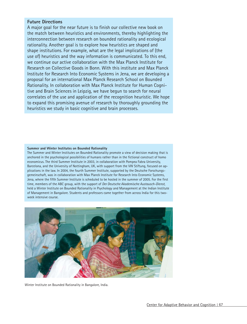### **Future Directions**

A major goal for the near future is to finish our collective new book on the match between heuristics and environments, thereby highlighting the interconnection between research on bounded rationality and ecological rationality. Another goal is to explore how heuristics are shaped and shape institutions. For example, what are the legal implications of (the use of) heuristics and the way information is communicated. To this end, we continue our active collaboration with the Max Planck Institute for Research on Collective Goods in Bonn. With this institute and Max Planck Institute for Research Into Economic Systems in Jena, we are developing a proposal for an international Max Planck Research School on Bounded Rationality. In collaboration with Max Planck Institute for Human Cognitive and Brain Sciences in Leipzig, we have begun to search for neural correlates of the use and application of the recognition heuristic. We hope to expand this promising avenue of research by thoroughly grounding the heuristics we study in basic cognitive and brain processes.

#### **Summer and Winter Institutes on Bounded Rationality**

The Summer and Winter Institutes on Bounded Rationality promote a view of decision making that is anchored in the psychological possibilities of humans rather than in the fictional construct of homo economicus. The third Summer Institute in 2003, in collaboration with Pompea Fabra University, Barcelona, and the University of Nottingham, UK, with support from the VW Stiftung, focused on applications in the law. In 2004, the fourth Summer Institute, supported by the Deutsche Forschungsgemeinschaft, was in collaboration with Max Planck Institute for Research Into Economic Systems, Jena, where the fifth Summer Institute is scheduled to be hosted in the summer of 2005. For the first time, members of the ABC group, with the support of *Der Deutsche Akademische Austausch-Dienst,* held a Winter Institute on Bounded Rationality in Psychology and Management at the Indian Institute of Management in Bangalore. Students and professors came together from across India for this twoweek intensive course.



Winter Institute on Bounded Rationality in Bangalore, India.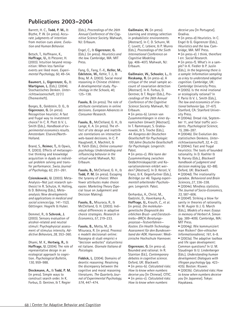# **Publications 2003–2004**

Barrett, H. C., **Todd, P. M.,** & Blythe, P. W. (in press). Accurate judgments of intention from motion cues alone. *Evolution and Human Behavior.*

Betsch, T., Hoffmann, K., **Hoffrage, U.,** & Plessner, H. (2003). Intuition beyond recognition: When less familiar events are liked more. *Experimental Psychology, 50,* 49–54.

**Baumert, J., Gigerenzer, G.,** & **Martignon, L.** (Eds.). (2004). Stochastisches Denken. *Unterrichtswissenschaft, 32* (1) (Themenheft).

Borges, B., Goldstein, D. G., & **Gigerenzer, G.** (in press). Recognition heuristic: A fast and frugal way to investment choice? In C. R. Plott & V. L. Smith (Eds.), *Handbook of experimental economics results.* Amsterdam: Elsevier/North-Holland.

Brand, S., **Reimer, T.,** & Opwis, K. (2003). Effects of metacognitive thinking and knowledge acquisition in dyads on individual problem solving and transfer performance. *Swiss Journal of Psychology, 62,* 251–261.

**Czienskowski, U.** (2003). Meta-Analysis—Not just research synthesis! In R. Schulze, H. Holling, & D. Böhning (Eds.), *Metaanalysis: New developments and applications in medical and social sciences* (pp. 141–152). Göttingen: Hogrefe & Huber.

Demmel, R., & **Schrenk, J.** (2003). Sensory evaluation of alcohol-related and neutral stimuli: Psychophysical assessment of stimulus intensity. *Addictive Behaviors, 28,* 353–360.

Dhami, M. K., **Hertwig, R.,** & **Hoffrage, U.** (2004). The role of representative design in an ecological approach to cognition. *Psychological Bulletin, 130,* 959–988.

**Dieckmann, A.,** & **Todd, P. M.** (in press). Simple ways to construct search order. In K. Forbus, D. Gentner, & T. Regier

(Eds.), *Proceedings of the 26th Annual Conference of the Cognitive Science Society.* Mahwah, NJ: Erlbaum.

Engel, C., & **Gigerenzer, G.** (Eds.). (in press). *Heuristics and the law.* Cambridge, MA: MIT Press.

Fang, G., Fang, F.-X., **Keller, M., Edelstein, W.,** Kehle, T. J., & Bray, M. A. (2003). Social moral reasoning in Chinese children: A developmental study. *Psychology in the Schools, 40,* 125–138.

**Fasolo, B.** (in press). The role of attribute correlations in online decisions. *European Advances in Consumer Research*.

**Fasolo, B.,** McClelland, G. H., & Lange, K. A. (in press). The effect of site design and inattribute correlations on interactive web-based decisions. In C. P. Haugtvedt, K. Machleit, & R. Yalch (Eds.), *Online consumer psychology: Understanding and influencing behavior in the virtual world.* Mahwah, NJ: Erlbaum.

**Fasolo, B.,** McClelland, G. H., & **Todd, P. M.** (in press). Escaping the tyranny of choice: When fewer attributes make choice easier. *Marketing Theory* (Special Issue on Judgement and Decision Making).

**Fasolo, B.,** Misuraca, R., & McClelland, G. H. (2003). Individual differences in adaptive choice strategies. *Research in Economics, 57,* 219–233.

**Fasolo, B.,** Motta, M., & Misuraca, R. (in press). Processi e modelli decisionali online: Rassegna di studi empirici e "decision websites" statunitensi ed italiane. *Giornale Italiano di Psicologia.* 

**Fiddick, L.** (2004). Domains of deontic reasoning: Resolving the discrepancy between the cognitive and moral reasoning literatures. *The Quarterly Journal of Experimental Psychology, 57A,* 447–474.

**Gaißmaier, W.** (in press). Learning and strategy selection in probabilistic environments [Abstract]. In C. D. Schunn, M. C. Lovett, C. Lebiere, & P. Munro (Eds.), *Proceedings of the Sixth International Conference on Cognitive Modeling* (pp. 406–407). Mahwah, NJ: Erlbaum.

**Gaißmaier, W., Schooler, L.,** & **Rieskamp, R.** (in press-a). A critique of the small sample account of covariation detection [Abstract]. In K. Forbus, D. Gentner, & T. Regier (Eds.), *Proceedings of the 26th Annual Conference of the Cognitive Science Society.* Mahwah, NJ: Erlbaum.

• (in press-b). Lernen von Zusammenhängen in einer dynamischen Umwelt [Abstract]. In T. Rammsayer, S. Grabianowski, & S. Troche (Eds.), *44. Kongress der Deutschen Gesellschaft für Psychologie: 100 Jahre Deutsche Gesellschaft für Psychologie.* Lengerich: Pabst.

• (in press-c). Wie kann der Zusammenhang zwischen Gedächtniskapazität und Kovariationslernen erklärt werden? [Abstract]. In D. Kerzel, V. Franz, & K. Gegenfurtner (Eds.), *Beiträge zur 46. Tagung experimentell arbeitender Psychologen.* Lengerich: Pabst.

Gerhardus, A., Christ, M., Gadzicki, D., Haverkamp A., **Hoffrage, U.,** Krauth, C., et al. (in press). *Die molekulargenetische Diagnostik des erblichen Brust- und Eierstockkrebs—BRCA: Beratungsprozesse—Testverfahren— Kosten. Ein Health Technology Assessment für den Bundesverband der AOK.* Hannover: Medizinische Hochschule Hannover.

**Gigerenzer, G.** (in press-a). Bounded and rational. In R. Stainton (Ed.), *Contemporary debates in cognitive science.* Oxford, UK: Blackwell. • (in press-b). *Calculated risks: How to know when numbers deceive you* [In Chinese]. CITIC. • (in press-c). *Calculated risks: How to know when numbers*

*deceive you* [In Portugese]. Gradiva.

• (in press-d) Heuristics. In C. Engel & G. Gigerenzer (Eds.), *Heuristics and the law.* Cambridge, MA: MIT Press.

• (in press-e). I think, therefore I err. *Social Research.*

• (in press-f). What's in a sample? In K. Fiedler & P. Juslin (Eds.), *In the beginning there is a sample: Information sampling as a key to understand adaptive cognition.* Cambridge, UK: Cambridge University Press.

• (2005). Is the mind irrational or ecologically rational? In F. Parisi & V. L. Smith (Eds.), *The law and economics of irrational behavior* (pp. 37–67). Stanford, CA: Stanford University Press.

• (2004a). Dread risk, September 11, and fatal traffic accidents. *Psychological Science, 15,* 286–287.

• (2004b). Die Evolution des statistischen Denkens. *Unterrichtswissenschaft, 32,* 4–22.

• (2004c). Fast and frugal heuristics: The tools of bounded rationality. In D. Koehler & N. Harvey (Eds.), *Blackwell handbook of judgment and decision making* (pp. 62–88). Oxford, UK: Blackwell.

• (2004d). The irrationality paradox. *Behavioral and Brain Sciences, 27,* 336–338.

• (2004e). Mindless statistics. *The Journal of Socio-Economics, 33,* 587–606.

• (2004f). Striking a blow for sanity in theories of rationality. In M. Augier & J. G. March (Eds.), *Models of a man: Essays in memory of Herbert A. Simon* (pp. 389–409). Cambridge, MA: MIT Press.

• (2004g). Wie kommuniziert man Risiken? *Gen-ethischer Informationsdienst, 161,* 6–8. • (2003a). The adaptive toolbox and life span development: Common questions? In U. M. Staudinger & U. Lindenberger (Eds.), *Understanding human development: Dialogues with lifespan psychology* (pp. 423– 435). Boston: Kluwer.

• (2003b). *Calculated risks: How to know when numbers deceive you* [In Japanese]. Tokyo: Hayakawa.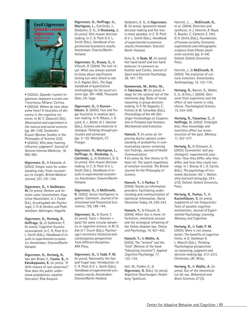

• (2003c). *Quando i numeri ingannano: Imparare a vivere con l'incertezza.* Milano: Cortina. • (2003d). Where do new ideas come from? A heuristics of discovery in the cognitive sciences. In M. C. Galavotti (Ed.), *Observation and experiment in the natural and social sciences* (pp. 99–139). Dordrecht: Kluwer (Boston Studies in the Philosophy of Science 232). • (2003e). Why does framing influence judgment? *Journal of General Internal Medicine, 18,* 960–961.

**Gigerenzer, G.,** & Edwards, A. (2003). Simple tools for understanding risks: From innumeracy to insight. *British Medical Journal, 327,* 741–744.

**Gigerenzer, G.,** & **Gaißmaier, W.** (in press). Denken und Urteilen unter Unsicherheit: Kognitive Heuristiken. In J. Funke (Ed.), *Enzyklopädie der Psychologie, C-II-8: Denken und Problemlösen.* Göttingen: Hogrefe.

**Gigerenzer, G., Hertwig, R., Hoffrage, U.,** & Sedlmeier, P. (in press). Cognitive illusions reconsidered. In C. R. Plott & V. L. Smith (Eds.), *Handbook of results in experimental economics.* Amsterdam: Elsevier/North-Holland.

**Gigerenzer, G., Hertwig, R.,** Van den Broek, E., **Fasolo, B.,** & **Katsikopoulos, K.** (in press). "A 30% chance of rain tomorrow": How does the public understand probabilistic weather forecasts? *Risk Analysis.*

**Gigerenzer, G., Hoffrage, U., Martignon, L.,** Czerlinski, J., Goldstein, D. G., & **Rieskamp, J.** (in press). One-reason decision making. In C. R. Plott & V. L. Smith (Eds.), *Handbook of experimental economics results.* Amsterdam: Elsevier/North-Holland.

**Gigerenzer, G., Krauss, S.,** & Vitouch, O. (2004). The null ritual: What you always wanted to know about significance testing but were afraid to ask. In D. Kaplan (Ed.), *The Sage handbook of quantitative methodology for the social sciences* (pp. 391–408). Thousand Oaks, CA: Sage.

**Gigerenzer, G.,** & **Kurzenhäuser, S.** (2005). Fast and frugal heuristics in medical decision making. In R. Bibace, J. D. Laird, K. L. Noller, & J. Valsiner (Eds.), *Science and medicine in dialogue: Thinking through particulars and universals* (pp. 3–15). Westport, CT: Praeger.

**Gigerenzer, G., Martignon, L., Hoffrage, U., Rieskamp, J., Czerlinski, J.,** & Goldstein, D. G. (in press). One-reason decision making. In C. R. Plott & V. L. Smith (Eds.), *Handbook of results in experimental economics.* Amsterdam: Elsevier/North-Holland.

**Gigerenzer, G.,** & **McElreath, R.** (2003). Social intelligence in games: Comment. *Journal of Institutional and Theoretical Economics, 159,* 188–194.

**Gigerenzer, G.,** & Sturm, T.  $(in$  press). Tools = theories = data? On some circular dynamics in cognitive science. In M. G. Ash & T. Sturm (Eds.), *Psychology's territories: Historical and contemporary perspectives from different disciplines.* APA Press.

**Gigerenzer, G.,** & **Todd, P. M.** (in press). Rationality the fast and frugal way: Introduction. In C. R. Plott & V. L. Smith (Eds.), *Handbook of experimental economics results.* Amsterdam: Elsevier/North-Holland.

Goldstein, D. G., & **Gigerenzer, G.** (in press). Ignorance-based decision making and the lessis-more paradox. In C. R. Plott & V. L. Smith (Eds.), *Handbook of experimental economics results.* Amsterdam: Elsevier/ North-Holland.

Gula, B., & **Raab, M.** (in press). Hot hand belief and hot hand behavior: A comment on Koehler and Conley. *Journal of Sport and Exercise Psychology, 26,* 167–170.

**Gummerum, M., Keller, M.,** & **Takezawa, M.** (in press). A stage for the rational tail of the emotional dog: Roles of moral reasoning in group decisionmaking. In P. M. Kappeler, C. Fichtel, & M. Schwibbe (Eds.), *Proceedings of the 4th Göttinger Freilandtage on Cooperation in Primates and Humans: Mechanisms and Evolution.*

**Hanoch, Y.** (in press-a). Improving doctor-patient understanding of probability in communicating cancer-screening test findings. *Journal of Health Communication.*

• (in press-b). One theory to fit them all: The search hypothesis of emotion revisited. *The British Journal for the Philosophy of Science.*

**Hanoch, Y.,** & **Pachur, T.** (2004). Nurses as information providers: Facilitating understanding and communication of statistical information. *Nurse Education Today, 24,* 236–243.

**Hanoch, Y.,** & Vitouch, O. (2004). When less is more: Information, emotional arousal and the ecological reframing of the Yerkes-Dodson law. *Theory and Psychology, 14,* 427–452.

**Hanoch, Y.,** & **Wallin, A.** (2003). The "wicked" and the "kind" [Review of the book "Educating intuition"]. *Applied Cognitive Psychology, 17,*  $122 - 124$ .

Hell, W., Fiedler, K., & **Gigerenzer, G.** (Eds.). (in press). *Kognitive Täuschungen.* Heidelberg: Spektrum.

Henrich, J., …, **McElreath, R.,** et al. (2004). Overview and synthesis. In J. Henrich, R. Boyd, S. Bowles, C. Camerer, E. Fehr, & H. Gintis (Eds.), *Foundations of human sociality: Economic experiments and ethnographic evidence from fifteen smallscale societies* (pp. 8–54). Oxford: Oxford University Press.

Henrich, J., & **McElreath, R.** (2003). The evolution of cultural evolution. *Evolutionary Anthropology, 12,* 123–135.

**Hertwig, R.,** Barron, G., Weber, E. U., & Erev, I. (2004). Decisions from experience and the effect of rare events in risky choice. *Psychological Science, 15,* 534–539.

**Hertwig, R., Fanselow, C.,** & **Hoffrage, U.** (2003). Hindsight bias: How knowledge and heuristics affect our reconstruction of the past. *Memory, 11,* 357–377.

**Hertwig, R.,** & Ortmann, A. (2003). Economists' and psychologists' experimental practices: How they differ, why they differ, and how they could converge. In I. Brocas & J. D. Carillo (Eds.), *The psychology of economic decisions*: *Vol. 1. Rationality and well-being* (pp. 253– 272). Oxford: Oxford University Press.

**Hertwig, R.**, **Pachur, T.,** & **Kurzenhäuser, S.** (in press). Judgments of risk frequencies: Tests of possible cognitive mechanisms. *Journal of Experimental Psychology: Learning, Memory, and Cognition.*

**Hertwig, R.,** & **Todd, P. M.** (2003). More is not always  $b$ etter: The benefits of cognitive limits. In D. Hardman & L. Macchi (Eds.), *Thinking: Psychological perspectives on reasoning, judgment and decision making* (pp. 213–231). Chichester, UK: Wiley.

**Hertwig, R.,** & **Wallin, A.** (in press). Out of the theoretical cul-de-sac. *Behavioral and Brain Sciences, 27* (3).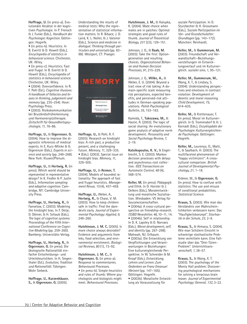**Hoffrage, U.** (in press-a). Evolutionäre Ansätze in der kognitiven Psychologie. In P. Frensch & J. Funke (Eds.), *Handbuch der Psychologie: Kognition.* Göttingen: Hogrefe.

• (in press-b). Heuristics. In B. Everitt & D. Howell (Eds.), *Encyclopedia of statistics in behavioral science.* Chichester, UK: Wiley.

• (in press-c). Heuristics: Fast and frugal. In B. Everitt & D. Howell (Eds.), *Encyclopedia of statistics in behavioral science.* Chichester, UK: Wiley.

• (2004). Overconfidence. In R. F. Pohl (Ed.), *Cognitive illusions: A handbook of fallacies and biases in thinking, judgement and memory* (pp. 235–254). Hove: Psychology Press.

• (2003). Risikokommunikation bei Brustkrebsfrüherkennung und Hormonersatztherapie. *Zeitschrift für Gesundheitspsychologie, 11,* 76–86.

**Hoffrage, U.,** & **Gigerenzer, G.** (2004). How to improve the diagnostic inferences of medical experts. In E. Kurz-Milcke & G. Gigerenzer (Eds.), *Experts in science and society* (pp. 249–268). New York: Kluwer/Plenum.

**Hoffrage, U.,** & **Hertwig, R.** (in press). Which world should be represented in representative design? In K. Fiedler & P. Juslin (Eds.), *Information sampling and adaptive cognition.* Cambridge, NY: Cambridge University Press.

**Hoffrage, U., Hertwig, R.,** & Fanselow, C. (2003). Modeling the hindsight bias. In F. Detje, D. Dörner, & H. Schaub (Eds.), *The logic of cognitive systems: Proceedings of the Fifth International Conference on Cognitive Modeling* (pp. 259–260). Bamberg: Universitäts-Verlag.

**Hoffrage, U., Hertwig, R.,** & **Gigerenzer, G.** (in press). Die ökologische Rationalität einfacher Entscheidungs- und Urteilsheuristiken. In H. Siegenthaler (Ed.), *Evolution, Tradition und Rationalität.* Tübingen: Mohr Siebeck.

**Hoffrage, U., Kurzenhäuser, S.,** & **Gigerenzer, G.** (2005).

Understanding the results of medical tests: Why the representation of statistical information matters. In R. Bibace, J. D. Laird, K. L. Noller, & J. Valsiner (Eds.), *Science and medicine in dialogue: Thinking through particulars and universals* (pp. 83– 98). Westport, CT: Praeger.



**Hoffrage, U.,** & Pohl, R. F. (2003). Research on hindsight bias: A rich past, a productive present, and a challenging future. *Memory, 11,* 329–335. • (Eds.). (2003). Special issue on hindsight bias. *Memory, 11,* 329–505.

**Hoffrage, U.,** & **Reimer, T.** (2004). Models of bounded rationality: The approach of fast and frugal heuristics. *Management Revue, 15* (4), 437–459.

**Hoffrage, U.,** Weber, A., **Hertwig, R.,** & Chase, V. M. (2003). How to keep children safe in traffic: Find the daredevils early. *Journal of Experimental Psychology: Applied, 9,* 249–260.

**Hutchinson, J. M. C.** (2005). Is more choice always desirable? Evidence and arguments from leks, food selection, and environmental enrichment. *Biological Reviews, 80* (1), 73–92.

**Hutchinson, J. M. C.,** & **Gigerenzer, G.** (in press-a). Response to commentaries. *Behavioural Processes.* • (in press-b). Simple heuristics and rules of thumb: Where psychologists and biologists might meet. *Behavioural Processes.*

**Hutchinson, J. M.,** & Halupka, K. (2004). Mate choice when males are in patches: Optimal strategies and good rules of thumb. *Journal of Theoretical Biology, 231* (23), 129–151.

Johnson, J. G., & **Raab, M.** (2003). Take the first: Optiongeneration and resulting choices. *Organizational Behavior and Human Decision Processes, 91,* 215–229.

Johnson, J. G., **Wilke, A.,** & Weber, E. U. (2004). Beyond a trait view of risk taking: A domain-specific scale measuring risk perceptions, expected benefits, and perceived-risk attitudes in German-speaking populations. *Polish Psychological Bulletin, 35,* 153–163.

Kameda, T., **Takezawa, M.,** & Hastie, R. (2003). The logic of social sharing: An evolutionary game analysis of adaptive norm development. *Personality and Social Psychology Review, 7,*  $2 - 19$ 

**Katsikopoulos, K. V.,** & Engelbrecht, S. E. (2003). Markov decision processes with delays and asynchronus cost collection. *IEEE Transactions on Automatic Control, 48* (4), 568–574.

**Keller, M.** (in press). Pädagogik und Ethik. In D. Horster & J. Oelkers (Eds.), Moralentwicklung und moralische Sozialisation. Wiesbaden: VS Verlag für Souialwissenschaften.

• (2004a). A cross-cultural perspective on friendship-research. *ISSBD Newsletter, 46,* 10–11, 14. • (2004b). Self in relationship.

In D. K. Lapsley & D. Narvaez (Eds.), *Moral development, self, and identity* (pp. 267–298). Mahwah, NJ: Erlbaum.

• (2003a). Die Entwicklung von Verpflichtungen und Verantwortungen in Beziehungen: Eine kulturvergleichende Perspektive. In W. Schneider & M. Knopf (Eds.), *Entwicklung, Lehren und Lernen: Zum Gedenken an Franz Emanuel Weinert* (pp. 147–165). Göttingen: Hogrefe. • (2003b). Moralische Entwicklung als Voraussetzung für

soziale Partizipation. In D. Sturzbecher & H. Grossmann (Eds.), *Soziale Partizipation im Vor- und Grundschulalter: Grundlagen* (pp. 143–172). München: Reinhardt.

**Keller, M.,** & **Gummerum, M.** (2003). Freundschaft und Verwandtschaft—Beziehungsvorstellungen im Entwicklungsverlauf und im Kulturvergleich. *sozialer sinn, 1,* 95–121.

**Keller, M., Gummerum, M.,** Wang, X. T., & Lindsey, S. (2004). Understanding perspectives and emotions in contract violation: Development of deontic and moral reasoning. *Child Development, 75,* 614–635.

**Keller, M.,** & Krettenauer, T. (in press). Moral im Kulturvergleich. In G. Trommsdorf & H. J. Kornadt (Eds.), *Enzyklopädie der Psychologie: Kulturvergleichende Psychologie.* Göttingen: Hogrefe.

**Keller, M.,** Lourenço, O., Malti, T., & Saalbach, H. (2003). The multifaceted phenomenon of "happy victimizers": A crosscultural comparison. *British Journal of Developmental Psychology, 21,* 1–18.

Krämer, W., & **Gigerenzer, G.** (in press). How to confuse with statistics: The use and misuse of conditional probabilities. *Statistical Science.*

**Krauss, S.** (2003). Wie man das Verständnis von Wahrscheinlichkeiten verbessern kann: Das "Haufigkeitskonzept". *Stochastik in der Schule, 23,* 2–9.

**Krauss, S.,** & Atmaca, S. (2004). Wie man Schülern Einsicht in schwierige stochastische Probleme vermitteln kann. Eine Fallstudie über das "Drei-Türen-Problem". *Unterrichtswissenschaft, 1,* 38–57.

**Krauss, S.,** & Wang, X. T. (2003). The psychology of the Monty Hall problem: Discovering psychological mechanisms for solving a tenacious brain teaser. *Journal of Experimental Psychology: General, 132,* 3–22.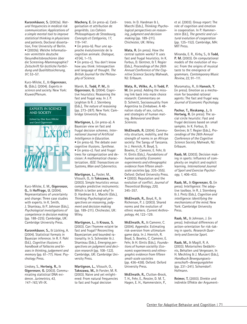**Kurzenhäuser, S.** (2003a). *Natural frequencies in medical risk communication: Applications of a simple mental tool to improve statistical thinking in physicians and patients.* Doctoral dissertation, Free University of Berlin. • (2003b). Welche Informationen vermitteln deutsche Gesundheitsbroschüren über die Screening-Mammographie? *Zeitschrift für ärztliche Fortbildung und Qualitätssicherung, 97,* 53–57.

Kurz-Milcke, E., & **Gigerenzer, G.** (Eds.). (2004). *Experts in science and society.* New York: Kluwer/Plenum.



Kurz-Milcke, E. M., **Gigerenzer, G.,** & **Hoffrage, U.** (2004). Representations of uncertainty and change: Three case studies with experts. In K. Smith, J. Shanteau, & P. Johnson (Eds.), *Psychological investigations of competence in decision making* (pp. 188–225). Cambridge, UK: Cambridge University Press.

**Kurzenhäuser, S.,** & Lücking, A. (2004). Statistical formats in Bayesian inference. In R. F. Pohl (Ed.), *Cognitive illusions: A handbook of fallacies and biases in thinking, judgement and memory* (pp. 61–77). Hove: Psychology Press.

Lindsey, S., **Hertwig, R.,** & **Gigerenzer, G.** (2003). Communicating statistical DNA evidence. *Jurimetrics, 43, 147–163,* VII-IX.

**Machery, E.** (in press-a). Catégorisation et attribution de propriétés. *Les Cahiers Philosophiques de Strasbourg, Concepts et Catégories, 17,* 119–147.

• (in press-b). Pour une approche évolutionniste de la cognition animale. *Dialogue, 43* (4), 1–15.

• (in press-c). You don't know how you think: Introspection and language of thought. *The British Journal for the Philosophy of Science.*

Marsh, B., **Todd, P. M.,** & **Gigerenzer, G.** (2004). Cognitive heuristics: Reasoning the fast and frugal way. In J. P. Leighton & R. J. Sternberg (Eds.), *The nature of reasoning* (pp. 273–287). New York: Cambridge University Press.

**Martignon, L.** (in press-a). A Bayesian view on fast and frugal decision schemes. *International Journal of Artificial Intelligence in Education.* • (in press-b). The debate over

cognitive illusions. *Synthese.* • (in press-c). Fast and frugal trees for categorization and decision: A mathematical characterization. *IEEE: Transactions on Systems, Man and Cybernetics.*

**Martignon, L.,** Foster, M., Vitouch, O., & **Takezawa, M.** (2003). Simple heuristics versus complex predictive instruments: Which is better and why? In D. Hardman & L. Macchi (Eds.), *Thinking: Psychological perspectives on reasoning, judgment and decision making* (pp. 189–211). Chichester, UK: Wiley.

**Martignon, L.,** & **Krauss, S.** (2003). Can l'homme eclairé be fast and frugal? Reconciling Bayesianism and bounded rationality. In S. Schneider & J. Shanteau (Eds.), *Emerging perspectives on judgment and decision research* (pp. 108–122). Cambridge, UK: Cambridge University Press.

**Martignon, L.,** Vitouch, O., **Takezawa, M.,** & Forster, M. R. (2003). Naive and yet enlightened: From natural frequencies to fast and frugal decision

trees. In D. Hardman & L. Macchi (Eds.), *Thinking: Psychological perspectives on reasoning, judgment and decision making* (pp. 189–211). Chichester, UK: Wiley.

**Mata, R.** (in press). How the central system works? It uses fast and frugal heuristics. In K. Forbus, D. Gentner, & T. Regier (Eds.), *Proceedings of the 26th Annual Conference of the Cognitive Science Society.* Mahwah, NJ: Erlbaum.

**Mata, R., Wilke, A.,** & **Todd, P. M.** (in press). Adding the missing link back into mate choice research: Commentary on D. Schmitt, Sociosexuality from Argentina to Zimbabwe. A 48 nation study of sex, culture, and strategies of human mating. *Behavioral and Brain Sciences.*

**McElreath, R.** (2004). Community structure, mobility, and the strength of norms in an African society: The Sangu of Tanzania. In J. Henrich, R. Boyd, S. Bowles, C. Camerer, E. Fehr, & H. Gintis (Eds.), *Foundations of human sociality: Economic experiments and ethnographic evidence from fifteen smallscale societies* (pp. 335–355). Oxford: Oxford University Press. • (2003). Reputation and the evolution of conflict. *Journal of Theoretical Biology, 220,* 345–357.

**McElreath, R.,** Boyd, R., & Richerson, P. J. (2003). Shared norms and the evolution of ethnic markers. *Current Anthropology, 44,* 122–129.

**McElreath, R.,** & Camerer, C. (2004). Appendix: Estimating risk-aversion from ultimatum game data. In J. Henrich, R. Boyd, S. Bowles, C. Camerer, E. Fehr, & H. Gintis (Eds.), *Foundations of human sociality: Economic experiments and ethnographic evidence from fifteen small-scale societies* (pp. 436–438). Oxford: Oxford University Press.

**McElreath, R.,** Clutton-Brock, T. H., Fehr, E., Ressler, D. M. T., Hagen, E. H., Hammerstein, P.,

et al. (2003). Group report: The role of cognition and emotion in cooperation. In P. Hammerstein (Ed.), *The genetic and cultural evolution of cooperation* (pp. 125–152). Cambridge, MA: MIT Press.

Miranda, E. R., Kirby, S., & **Todd, P. M.** (2003). On computational models of the evolution of music: From the origins of musical taste to the emergence of grammars. *Contemporary Music Review, 22,* 91–111.

Muramatsu, R., & **Hanoch, Y.** (in press). Emotion as a mechanism for bounded rational agents: The fast and frugal way. *Journal of Economic Psychology.*

**Pachur, T., Rieskamp, J.,** & **Hertwig, R.** (in press). The social circle heuristic: Fast and frugal decisions based on small samples. In K. Forbus, D. Gentner, & T. Regier (Eds.), *Proceedings of the 26th Annual Conference of the Cognitive Science Society.* Mahwah, NJ: Erlbaum.

**Raab, M.** (2003). Decision making in sports: Influence of complexity on implicit and explicit learning. *International Journal of Sport and Exercise Psychology, 1,* 406–433.

**Raab, M.,** & **Gigerenzer, G.** (in press). Intelligence: The adaptive toolbox. In R. J. Sternberg & J. Pretz (Eds.), *Cognition and intelligence: Identifying the mechanisms of the mind.* New York: Cambridge University Press.

**Raab, M.,** & Johnson, J. (in press). Individual differences of action-orientation for risk-taking in sports. *Research Quarterly and Exercise Sport*.

**Raab, M.,** & Magill, R. A. (2003). Motorisches Gedächtnis, Behalten und Vergessen. In H. Mechling & J. Munzert (Eds.), *Handbuch Bewegungswissenschaft—Bewegungslehre* (pp. 231–241). Schorndorf: Hofmann.

**Reimer, T.** (2003). Direkte und indirekte Effekte der Argument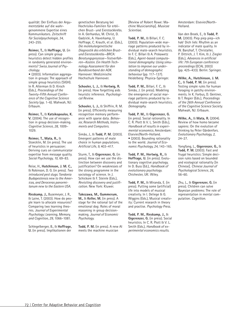qualität: Der Einfluss der Argumentstärke auf die wahrgenommene Expertise eines Kommunikators. *Zeitschrift für Sozialpsychologie, 34,* 243–255.

**Reimer, T.,** & **Hoffrage, U.** (in press). Can simple group heuristics detect hidden profiles in randomly generated environments? *Swiss Journal of Psychology.*

**•** (2003). Information aggregation in groups: The approach of simple group heuristics (SIGH). In R. Alterman & D. Kirsch (Eds.), *Proceedings of the Twenty-Fifth Annual Conference of the Cognitive Science Society* (pp. 1–6). Mahwah, NJ: Erlbaum.

**Reimer, T.,** & **Katsikopoulos, K. V.** (2004). The use of recognition in group decision-making. *Cognitive Science, 28,* 1009– 1029.

**Reimer, T., Mata, R.,** & Stoecklin, M. (in press). The use of heuristics in persuasion: Deriving cues on communicator expertise from message quality. *Social Psychology, 10,* 69–83.

Reise, H., **Hutchinson, J. M. C.,** & Robinson, D. G. (in press). *Two introduced pest slugs: Tandonia Budapestensis new to the Americas, and Deroceras panormitanum new to the Eastern USA.*

**Rieskamp, J.,** Busemeyer, J. R., & Laine, T. (2003). How do people learn to allocate resources? Comparing two learning theories. *Journal of Experimental Psychology: Learning, Memory, and Cognition, 29,* 1066–1081.

Schlegelberger, B., & **Hoffrage, U.** (in press). Implikationen der

genetischen Beratung bei Hochrisiko-Familien für erblichen Brust- und Eierstockkrebs. In A. Gerhardus, M. Christ, D. Gadzicki, A. Haverkamp, U. Hoffrage, C. Krauth, et al. (Eds.), *Die molekulargenetische Diagnostik des erblichen Brustund Eierstockkrebs—BRCA: Beratungsprozesse—Testverfahren—Kosten. Ein Health Technology Assessment für den Bundesverband der AOK.* Hannover: Medizinische Hochschule Hannover.

**Schooler, L. J.,** & **Hertwig, R.** (in press). How forgetting aids heuristic inference. *Psychological Review.*

**Schooler, L. J.,** & Shiffrin, R. M. (in press). Efficiently measuring recognition memory performance with sparse data. *Behavior, Research Methods, Instruments and Computers.*

Simão, J., & **Todd, P. M.** (2003). Emergent patterns of mate choice in human populations. *Artificial Life, 9,* 403–417.

Sturm, T., & **Gigerenzer, G.** (in press). How can we use the distinction between discovery and justification? On weaknesses of the strong programme in the sociology of science. In J. Schickore & F. Steinle (Eds.), *Revisiting discovery and justification.* New York: Kluwer.

**Takezawa, M., Gummerum, M.,** & **Keller, M.** (in press). A stage for the rational tail of the emotional dog: Roles of moral reasoning in group decisionmaking. *Journal of Economic Psychology.*

**Todd, P. M.** (in press). A new AI meets the machine musician

[Review of Robert Rowe: Machine Musicianship]. *Musicae Scientiae.*

**Todd, P. M.,** & Billari, F. C. (2003). Population-wide marriage patterns produced by individual mate-search heuristics. In F. C. Billari & A. Prskawetz (Eds.), *Agent-based computational demography: Using simulation to improve our understanding of demographic behaviour* (pp. 117–137). Heidelberg: Physica-Springer.

**Todd, P. M.,** Billari, F. C., & Simão, J. (in press). Modeling the emergence of social marriage patterns produced by individual mate-search heuristics. *Demography.*

**Todd, P. M.,** & **Gigerenzer, G.** (in press). Social rationality. In C. R. Plott & V. L. Smith (Eds.), *Handbook of results in experimental economics.* Amsterdam: Elsevier/North-Holland. • (2003). Bounding rationality to the world. *Journal of Economic Psychology, 24,* 143–165.

**Todd, P. M., Hertwig, R.,** & **Hoffrage, U.** (in press). Evolutionary cognitive psychology. In D. Buss (Ed.), *Handbook of evolutionary psychology.* Chichester, UK: Wiley.

**Todd, P. M.,** & Miranda, E. (in press). Putting some (artificial) life into models of musical creativity. In I. Deliege & G. Wiggins (Eds.), Musical creativity: Current research in theory and practise. *Psychology Press.*

**Todd, P. M., Rieskamp, J.,** & **Gigerenzer, G.** (in press). Social heuristics. In C. R. Plott & V. L. Smith (Eds.), *Handbook of experimental economics results.*

Amsterdam: Elsevier/North-Holland.

Van den Broek, E., & **Todd, P. M.** (2003). Piep piep piep—ich hab' Dich lieb: Rhythm as an indicator of mate quality. In W. Banzhaf, T. Christaller, P. Dittrich, J. T. Kim, & J. Ziegler (Eds.), *Advances in artificial life: 7th European conference proceedings* (ECAL 2003) (pp. 425–433). Berlin: Springer.

**Wilke, A., Hutchinson, J. M. C.,** & **Todd, P. M.** (in press). Testing simple rules for human foraging in patchy environments. In K. Forbus, D. Gentner, & T. Regier (Eds.), *Proceedings of the 26th Annual Conference of the Cognitive Science Society.* Mahwah, NJ: Erlbaum.

**Wilke, A.,** & **Mata, R.** (2004). Review of how homo became sapiens: On the evolution of thinking by Peter Gärdenfors. *Evolutionary Psychology, 2,* 24–27.

Yongfang, L., **Gigerenzer, G.,** & **Todd, P. M.** (2003). Fast and frugal heuristics: Simple decision rules based on bounded and ecological rationality [In Chinese]. *Chinese Journal of Psychological Science, 26,* 56–60.

Zhu, L., & **Gigerenzer, G.** (in press). Children can solve Bayesian problems: The role of representation in mental computation. *Cognition.*